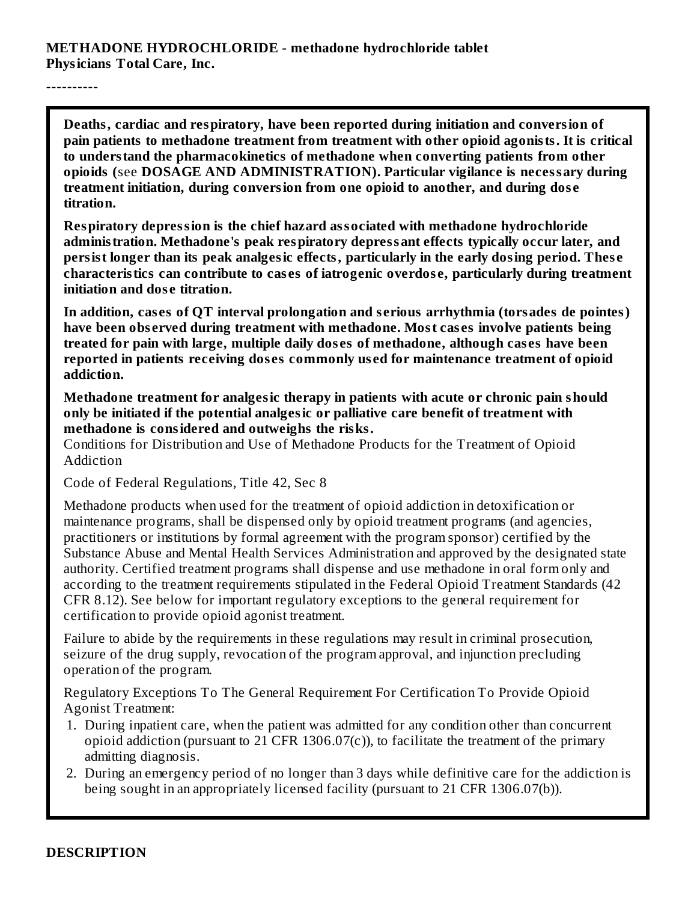----------

**Deaths, cardiac and respiratory, have been reported during initiation and conversion of pain patients to methadone treatment from treatment with other opioid agonists. It is critical to understand the pharmacokinetics of methadone when converting patients from other opioids (**see **DOSAGE AND ADMINISTRATION). Particular vigilance is necessary during treatment initiation, during conversion from one opioid to another, and during dos e titration.**

**Respiratory depression is the chief hazard associated with methadone hydrochloride administration. Methadone's peak respiratory depressant effects typically occur later, and persist longer than its peak analgesic effects, particularly in the early dosing period. Thes e characteristics can contribute to cas es of iatrogenic overdos e, particularly during treatment initiation and dos e titration.**

**In addition, cas es of QT interval prolongation and s erious arrhythmia (torsades de pointes) have been obs erved during treatment with methadone. Most cas es involve patients being treated for pain with large, multiple daily dos es of methadone, although cas es have been reported in patients receiving dos es commonly us ed for maintenance treatment of opioid addiction.**

**Methadone treatment for analgesic therapy in patients with acute or chronic pain should only be initiated if the potential analgesic or palliative care benefit of treatment with methadone is considered and outweighs the risks.**

Conditions for Distribution and Use of Methadone Products for the Treatment of Opioid Addiction

Code of Federal Regulations, Title 42, Sec 8

Methadone products when used for the treatment of opioid addiction in detoxification or maintenance programs, shall be dispensed only by opioid treatment programs (and agencies, practitioners or institutions by formal agreement with the program sponsor) certified by the Substance Abuse and Mental Health Services Administration and approved by the designated state authority. Certified treatment programs shall dispense and use methadone in oral form only and according to the treatment requirements stipulated in the Federal Opioid Treatment Standards (42 CFR 8.12). See below for important regulatory exceptions to the general requirement for certification to provide opioid agonist treatment.

Failure to abide by the requirements in these regulations may result in criminal prosecution, seizure of the drug supply, revocation of the program approval, and injunction precluding operation of the program.

Regulatory Exceptions To The General Requirement For Certification To Provide Opioid Agonist Treatment:

- 1. During inpatient care, when the patient was admitted for any condition other than concurrent opioid addiction (pursuant to 21 CFR 1306.07(c)), to facilitate the treatment of the primary admitting diagnosis.
- 2. During an emergency period of no longer than 3 days while definitive care for the addiction is being sought in an appropriately licensed facility (pursuant to 21 CFR 1306.07(b)).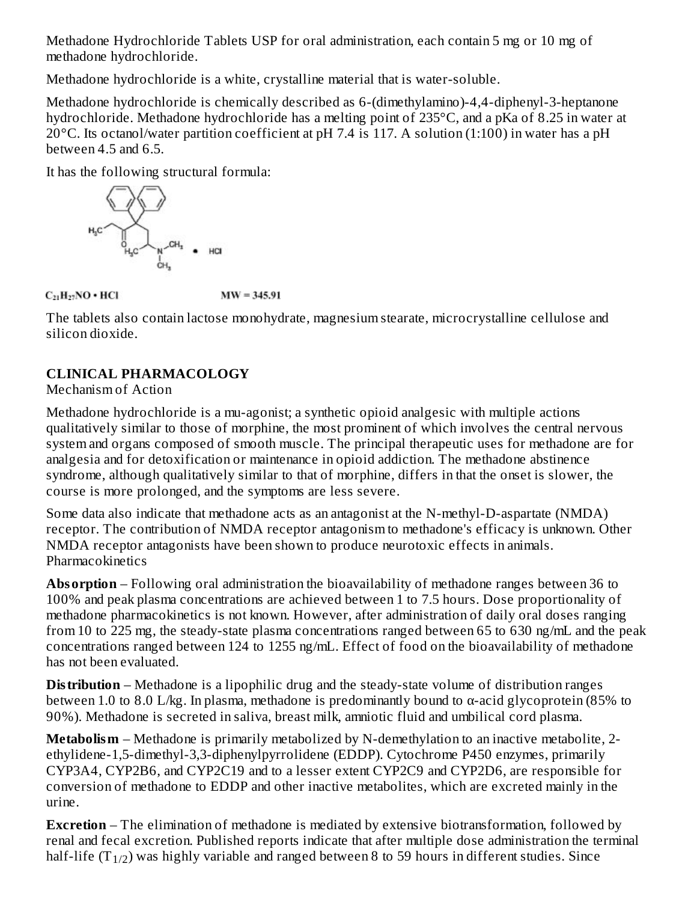Methadone Hydrochloride Tablets USP for oral administration, each contain 5 mg or 10 mg of methadone hydrochloride.

Methadone hydrochloride is a white, crystalline material that is water-soluble.

Methadone hydrochloride is chemically described as 6-(dimethylamino)-4,4-diphenyl-3-heptanone hydrochloride. Methadone hydrochloride has a melting point of 235°C, and a pKa of 8.25 in water at 20°C. Its octanol/water partition coefficient at pH 7.4 is 117. A solution (1:100) in water has a pH between 4.5 and 6.5.

It has the following structural formula:

$$
\mathbf{H}_{\text{G}} \cdot \left( \mathbf{H}_{\text{G}} \right)_{\mathbf{H}_{\text{G}}} \cdot \mathbf{H}_{\text{G}} \mathbf{H}_{\text{G}} \cdot \mathbf{H}_{\text{G}}
$$

 $C_{21}H_{27}NO \cdot HCl$ 

 $MW = 345.91$ 

The tablets also contain lactose monohydrate, magnesium stearate, microcrystalline cellulose and silicon dioxide.

# **CLINICAL PHARMACOLOGY**

# Mechanism of Action

Methadone hydrochloride is a mu-agonist; a synthetic opioid analgesic with multiple actions qualitatively similar to those of morphine, the most prominent of which involves the central nervous system and organs composed of smooth muscle. The principal therapeutic uses for methadone are for analgesia and for detoxification or maintenance in opioid addiction. The methadone abstinence syndrome, although qualitatively similar to that of morphine, differs in that the onset is slower, the course is more prolonged, and the symptoms are less severe.

Some data also indicate that methadone acts as an antagonist at the N-methyl-D-aspartate (NMDA) receptor. The contribution of NMDA receptor antagonism to methadone's efficacy is unknown. Other NMDA receptor antagonists have been shown to produce neurotoxic effects in animals. **Pharmacokinetics** 

**Absorption** – Following oral administration the bioavailability of methadone ranges between 36 to 100% and peak plasma concentrations are achieved between 1 to 7.5 hours. Dose proportionality of methadone pharmacokinetics is not known. However, after administration of daily oral doses ranging from 10 to 225 mg, the steady-state plasma concentrations ranged between 65 to 630 ng/mL and the peak concentrations ranged between 124 to 1255 ng/mL. Effect of food on the bioavailability of methadone has not been evaluated.

**Distribution** – Methadone is a lipophilic drug and the steady-state volume of distribution ranges between 1.0 to 8.0 L/kg. In plasma, methadone is predominantly bound to α-acid glycoprotein (85% to 90%). Methadone is secreted in saliva, breast milk, amniotic fluid and umbilical cord plasma.

**Metabolism** – Methadone is primarily metabolized by N-demethylation to an inactive metabolite, 2 ethylidene-1,5-dimethyl-3,3-diphenylpyrrolidene (EDDP). Cytochrome P450 enzymes, primarily CYP3A4, CYP2B6, and CYP2C19 and to a lesser extent CYP2C9 and CYP2D6, are responsible for conversion of methadone to EDDP and other inactive metabolites, which are excreted mainly in the urine.

**Excretion** – The elimination of methadone is mediated by extensive biotransformation, followed by renal and fecal excretion. Published reports indicate that after multiple dose administration the terminal half-life  $(T_{1/2})$  was highly variable and ranged between 8 to 59 hours in different studies. Since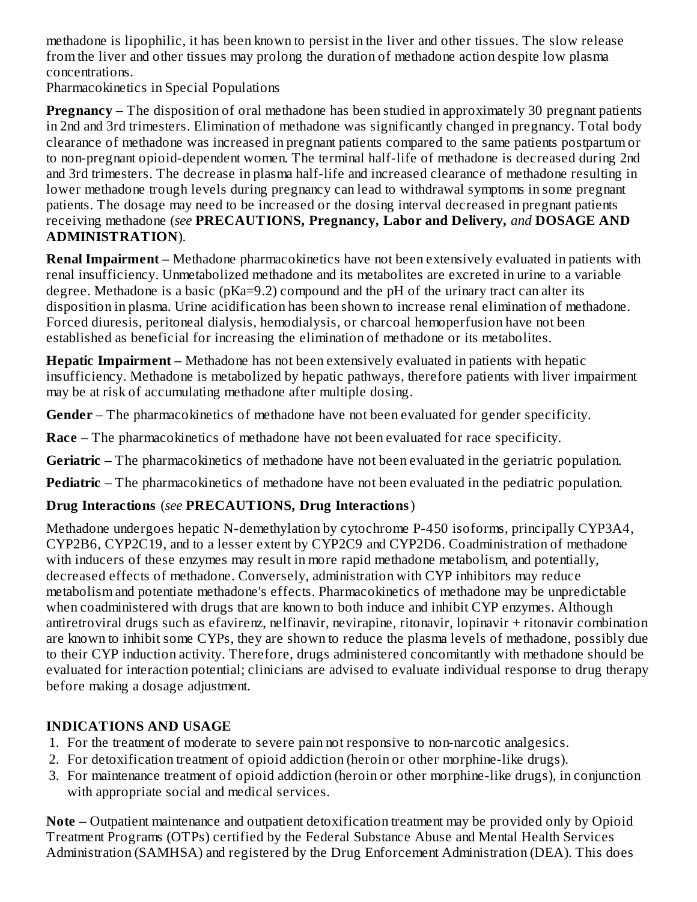methadone is lipophilic, it has been known to persist in the liver and other tissues. The slow release from the liver and other tissues may prolong the duration of methadone action despite low plasma concentrations.  $\frac{1}{2}$ 

Pharmacokinetics in Special Populations

**Pregnancy** – The disposition of oral methadone has been studied in approximately 30 pregnant patients in 2nd and 3rd trimesters. Elimination of methadone was significantly changed in pregnancy. Total body clearance of methadone was increased in pregnant patients compared to the same patients postpartum or to non-pregnant opioid-dependent women. The terminal half-life of methadone is decreased during 2nd and 3rd trimesters. The decrease in plasma half-life and increased clearance of methadone resulting in lower methadone trough levels during pregnancy can lead to withdrawal symptoms in some pregnant patients. The dosage may need to be increased or the dosing interval decreased in pregnant patients receiving methadone (*see* **PRECAUTIONS, Pregnancy, Labor and Delivery,** *and* **DOSAGE AND ADMINISTRATION**).

**Renal Impairment –** Methadone pharmacokinetics have not been extensively evaluated in patients with renal insufficiency. Unmetabolized methadone and its metabolites are excreted in urine to a variable degree. Methadone is a basic (pKa=9.2) compound and the pH of the urinary tract can alter its disposition in plasma. Urine acidification has been shown to increase renal elimination of methadone. Forced diuresis, peritoneal dialysis, hemodialysis, or charcoal hemoperfusion have not been established as beneficial for increasing the elimination of methadone or its metabolites.

**Hepatic Impairment –** Methadone has not been extensively evaluated in patients with hepatic insufficiency. Methadone is metabolized by hepatic pathways, therefore patients with liver impairment may be at risk of accumulating methadone after multiple dosing.

**Gender** – The pharmacokinetics of methadone have not been evaluated for gender specificity.

**Race** – The pharmacokinetics of methadone have not been evaluated for race specificity.

**Geriatric** – The pharmacokinetics of methadone have not been evaluated in the geriatric population.

**Pediatric** – The pharmacokinetics of methadone have not been evaluated in the pediatric population.

# **Drug Interactions** (*see* **PRECAUTIONS, Drug Interactions**)

Methadone undergoes hepatic N-demethylation by cytochrome P-450 isoforms, principally CYP3A4, CYP2B6, CYP2C19, and to a lesser extent by CYP2C9 and CYP2D6. Coadministration of methadone with inducers of these enzymes may result in more rapid methadone metabolism, and potentially, decreased effects of methadone. Conversely, administration with CYP inhibitors may reduce metabolism and potentiate methadone's effects. Pharmacokinetics of methadone may be unpredictable when coadministered with drugs that are known to both induce and inhibit CYP enzymes. Although antiretroviral drugs such as efavirenz, nelfinavir, nevirapine, ritonavir, lopinavir + ritonavir combination are known to inhibit some CYPs, they are shown to reduce the plasma levels of methadone, possibly due to their CYP induction activity. Therefore, drugs administered concomitantly with methadone should be evaluated for interaction potential; clinicians are advised to evaluate individual response to drug therapy before making a dosage adjustment.

# **INDICATIONS AND USAGE**

- 1. For the treatment of moderate to severe pain not responsive to non-narcotic analgesics.
- 2. For detoxification treatment of opioid addiction (heroin or other morphine-like drugs).
- 3. For maintenance treatment of opioid addiction (heroin or other morphine-like drugs), in conjunction with appropriate social and medical services.

**Note –** Outpatient maintenance and outpatient detoxification treatment may be provided only by Opioid Treatment Programs (OTPs) certified by the Federal Substance Abuse and Mental Health Services Administration (SAMHSA) and registered by the Drug Enforcement Administration (DEA). This does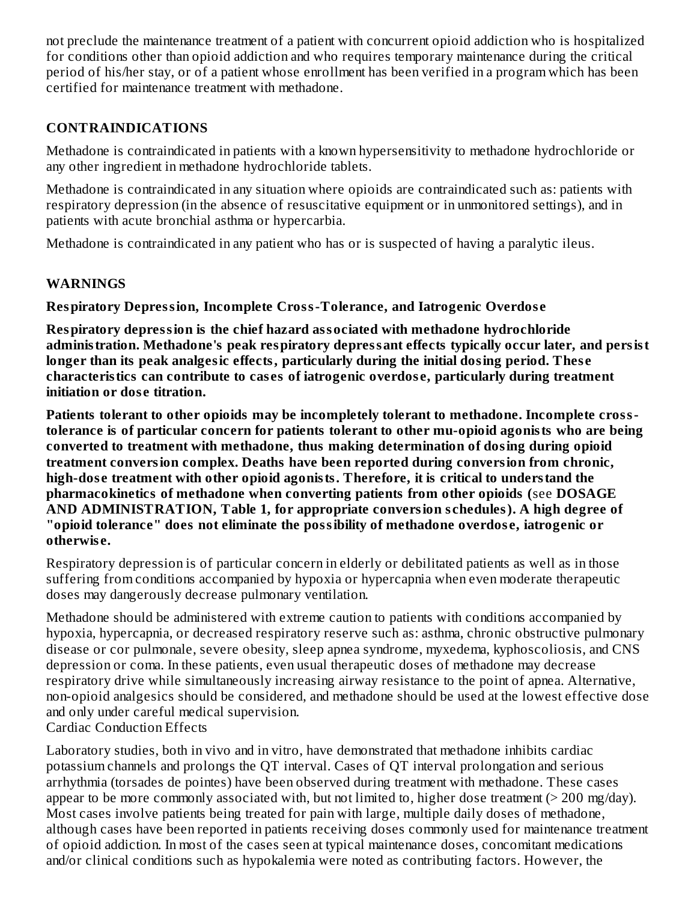not preclude the maintenance treatment of a patient with concurrent opioid addiction who is hospitalized for conditions other than opioid addiction and who requires temporary maintenance during the critical period of his/her stay, or of a patient whose enrollment has been verified in a program which has been certified for maintenance treatment with methadone.

# **CONTRAINDICATIONS**

Methadone is contraindicated in patients with a known hypersensitivity to methadone hydrochloride or any other ingredient in methadone hydrochloride tablets.

Methadone is contraindicated in any situation where opioids are contraindicated such as: patients with respiratory depression (in the absence of resuscitative equipment or in unmonitored settings), and in patients with acute bronchial asthma or hypercarbia.

Methadone is contraindicated in any patient who has or is suspected of having a paralytic ileus.

#### **WARNINGS**

**Respiratory Depression, Incomplete Cross-Tolerance, and Iatrogenic Overdos e**

**Respiratory depression is the chief hazard associated with methadone hydrochloride administration. Methadone's peak respiratory depressant effects typically occur later, and persist longer than its peak analgesic effects, particularly during the initial dosing period. Thes e characteristics can contribute to cas es of iatrogenic overdos e, particularly during treatment initiation or dos e titration.**

**Patients tolerant to other opioids may be incompletely tolerant to methadone. Incomplete crosstolerance is of particular concern for patients tolerant to other mu-opioid agonists who are being converted to treatment with methadone, thus making determination of dosing during opioid treatment conversion complex. Deaths have been reported during conversion from chronic, high-dos e treatment with other opioid agonists. Therefore, it is critical to understand the pharmacokinetics of methadone when converting patients from other opioids (**see **DOSAGE AND ADMINISTRATION, Table 1, for appropriate conversion s chedules). A high degree of "opioid tolerance" does not eliminate the possibility of methadone overdos e, iatrogenic or otherwis e.**

Respiratory depression is of particular concern in elderly or debilitated patients as well as in those suffering from conditions accompanied by hypoxia or hypercapnia when even moderate therapeutic doses may dangerously decrease pulmonary ventilation.

Methadone should be administered with extreme caution to patients with conditions accompanied by hypoxia, hypercapnia, or decreased respiratory reserve such as: asthma, chronic obstructive pulmonary disease or cor pulmonale, severe obesity, sleep apnea syndrome, myxedema, kyphoscoliosis, and CNS depression or coma. In these patients, even usual therapeutic doses of methadone may decrease respiratory drive while simultaneously increasing airway resistance to the point of apnea. Alternative, non-opioid analgesics should be considered, and methadone should be used at the lowest effective dose and only under careful medical supervision. Cardiac Conduction Effects

Laboratory studies, both in vivo and in vitro, have demonstrated that methadone inhibits cardiac potassium channels and prolongs the QT interval. Cases of QT interval prolongation and serious arrhythmia (torsades de pointes) have been observed during treatment with methadone. These cases appear to be more commonly associated with, but not limited to, higher dose treatment  $(>200 \text{ mg/day})$ . Most cases involve patients being treated for pain with large, multiple daily doses of methadone, although cases have been reported in patients receiving doses commonly used for maintenance treatment of opioid addiction. In most of the cases seen at typical maintenance doses, concomitant medications and/or clinical conditions such as hypokalemia were noted as contributing factors. However, the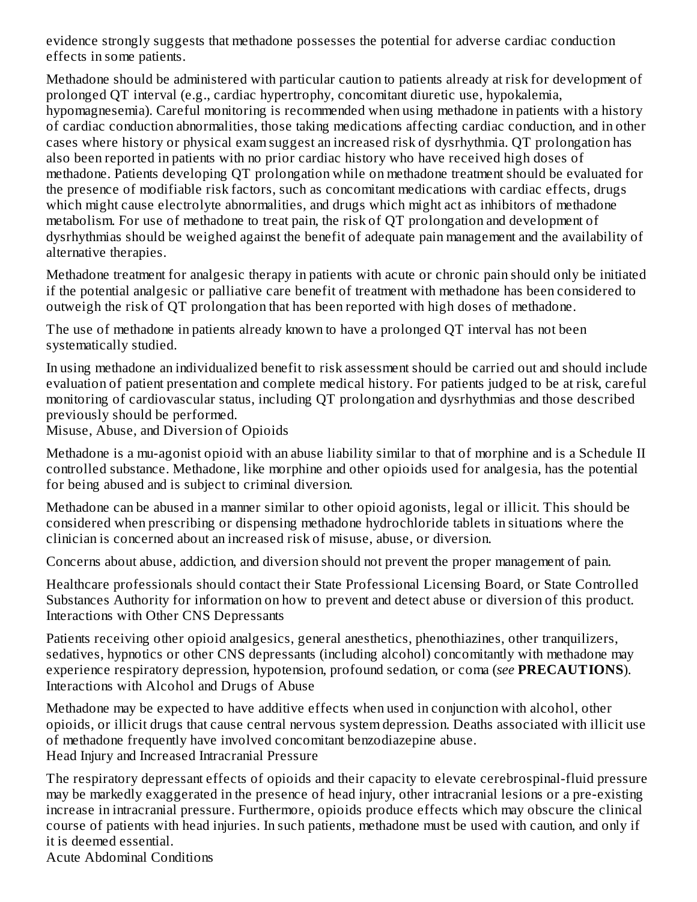evidence strongly suggests that methadone possesses the potential for adverse cardiac conduction effects in some patients.

Methadone should be administered with particular caution to patients already at risk for development of prolonged QT interval (e.g., cardiac hypertrophy, concomitant diuretic use, hypokalemia, hypomagnesemia). Careful monitoring is recommended when using methadone in patients with a history of cardiac conduction abnormalities, those taking medications affecting cardiac conduction, and in other cases where history or physical exam suggest an increased risk of dysrhythmia. QT prolongation has also been reported in patients with no prior cardiac history who have received high doses of methadone. Patients developing QT prolongation while on methadone treatment should be evaluated for the presence of modifiable risk factors, such as concomitant medications with cardiac effects, drugs which might cause electrolyte abnormalities, and drugs which might act as inhibitors of methadone metabolism. For use of methadone to treat pain, the risk of QT prolongation and development of dysrhythmias should be weighed against the benefit of adequate pain management and the availability of alternative therapies.

Methadone treatment for analgesic therapy in patients with acute or chronic pain should only be initiated if the potential analgesic or palliative care benefit of treatment with methadone has been considered to outweigh the risk of QT prolongation that has been reported with high doses of methadone.

The use of methadone in patients already known to have a prolonged QT interval has not been systematically studied.

In using methadone an individualized benefit to risk assessment should be carried out and should include evaluation of patient presentation and complete medical history. For patients judged to be at risk, careful monitoring of cardiovascular status, including QT prolongation and dysrhythmias and those described previously should be performed.

Misuse, Abuse, and Diversion of Opioids

Methadone is a mu-agonist opioid with an abuse liability similar to that of morphine and is a Schedule II controlled substance. Methadone, like morphine and other opioids used for analgesia, has the potential for being abused and is subject to criminal diversion.

Methadone can be abused in a manner similar to other opioid agonists, legal or illicit. This should be considered when prescribing or dispensing methadone hydrochloride tablets in situations where the clinician is concerned about an increased risk of misuse, abuse, or diversion.

Concerns about abuse, addiction, and diversion should not prevent the proper management of pain.

Healthcare professionals should contact their State Professional Licensing Board, or State Controlled Substances Authority for information on how to prevent and detect abuse or diversion of this product. Interactions with Other CNS Depressants

Patients receiving other opioid analgesics, general anesthetics, phenothiazines, other tranquilizers, sedatives, hypnotics or other CNS depressants (including alcohol) concomitantly with methadone may experience respiratory depression, hypotension, profound sedation, or coma (*see* **PRECAUTIONS**). Interactions with Alcohol and Drugs of Abuse

Methadone may be expected to have additive effects when used in conjunction with alcohol, other opioids, or illicit drugs that cause central nervous system depression. Deaths associated with illicit use of methadone frequently have involved concomitant benzodiazepine abuse. Head Injury and Increased Intracranial Pressure

The respiratory depressant effects of opioids and their capacity to elevate cerebrospinal-fluid pressure may be markedly exaggerated in the presence of head injury, other intracranial lesions or a pre-existing increase in intracranial pressure. Furthermore, opioids produce effects which may obscure the clinical course of patients with head injuries. In such patients, methadone must be used with caution, and only if it is deemed essential.

Acute Abdominal Conditions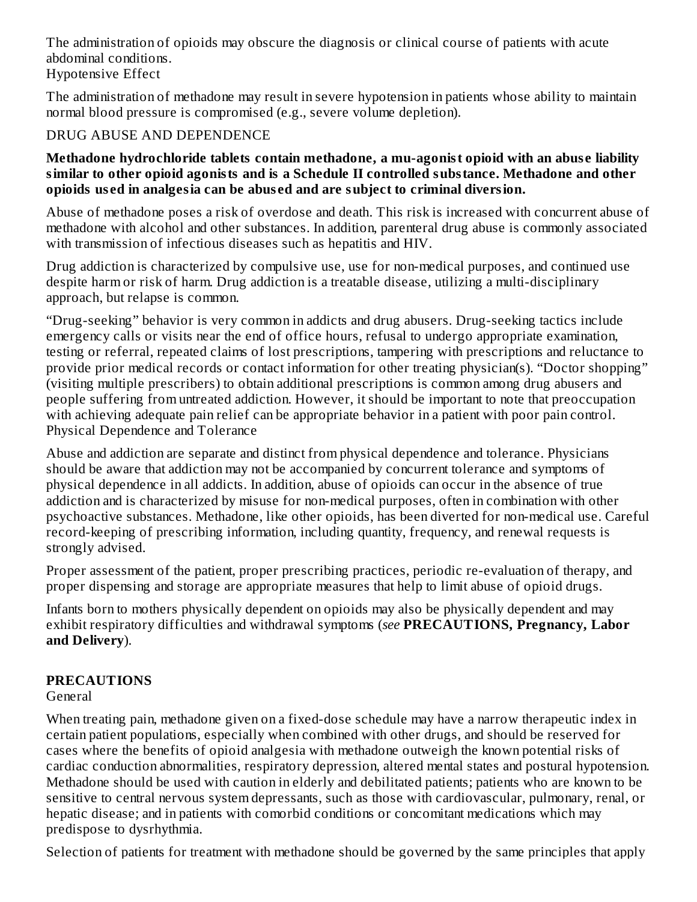The administration of opioids may obscure the diagnosis or clinical course of patients with acute abdominal conditions. Hypotensive Effect

The administration of methadone may result in severe hypotension in patients whose ability to maintain normal blood pressure is compromised (e.g., severe volume depletion).

#### DRUG ABUSE AND DEPENDENCE

#### **Methadone hydrochloride tablets contain methadone, a mu-agonist opioid with an abus e liability similar to other opioid agonists and is a Schedule II controlled substance. Methadone and other opioids us ed in analgesia can be abus ed and are subject to criminal diversion.**

Abuse of methadone poses a risk of overdose and death. This risk is increased with concurrent abuse of methadone with alcohol and other substances. In addition, parenteral drug abuse is commonly associated with transmission of infectious diseases such as hepatitis and HIV.

Drug addiction is characterized by compulsive use, use for non-medical purposes, and continued use despite harm or risk of harm. Drug addiction is a treatable disease, utilizing a multi-disciplinary approach, but relapse is common.

"Drug-seeking" behavior is very common in addicts and drug abusers. Drug-seeking tactics include emergency calls or visits near the end of office hours, refusal to undergo appropriate examination, testing or referral, repeated claims of lost prescriptions, tampering with prescriptions and reluctance to provide prior medical records or contact information for other treating physician(s). "Doctor shopping" (visiting multiple prescribers) to obtain additional prescriptions is common among drug abusers and people suffering from untreated addiction. However, it should be important to note that preoccupation with achieving adequate pain relief can be appropriate behavior in a patient with poor pain control. Physical Dependence and Tolerance

Abuse and addiction are separate and distinct from physical dependence and tolerance. Physicians should be aware that addiction may not be accompanied by concurrent tolerance and symptoms of physical dependence in all addicts. In addition, abuse of opioids can occur in the absence of true addiction and is characterized by misuse for non-medical purposes, often in combination with other psychoactive substances. Methadone, like other opioids, has been diverted for non-medical use. Careful record-keeping of prescribing information, including quantity, frequency, and renewal requests is strongly advised.

Proper assessment of the patient, proper prescribing practices, periodic re-evaluation of therapy, and proper dispensing and storage are appropriate measures that help to limit abuse of opioid drugs.

Infants born to mothers physically dependent on opioids may also be physically dependent and may exhibit respiratory difficulties and withdrawal symptoms (*see* **PRECAUTIONS, Pregnancy, Labor and Delivery**).

# **PRECAUTIONS**

General

When treating pain, methadone given on a fixed-dose schedule may have a narrow therapeutic index in certain patient populations, especially when combined with other drugs, and should be reserved for cases where the benefits of opioid analgesia with methadone outweigh the known potential risks of cardiac conduction abnormalities, respiratory depression, altered mental states and postural hypotension. Methadone should be used with caution in elderly and debilitated patients; patients who are known to be sensitive to central nervous system depressants, such as those with cardiovascular, pulmonary, renal, or hepatic disease; and in patients with comorbid conditions or concomitant medications which may predispose to dysrhythmia.

Selection of patients for treatment with methadone should be governed by the same principles that apply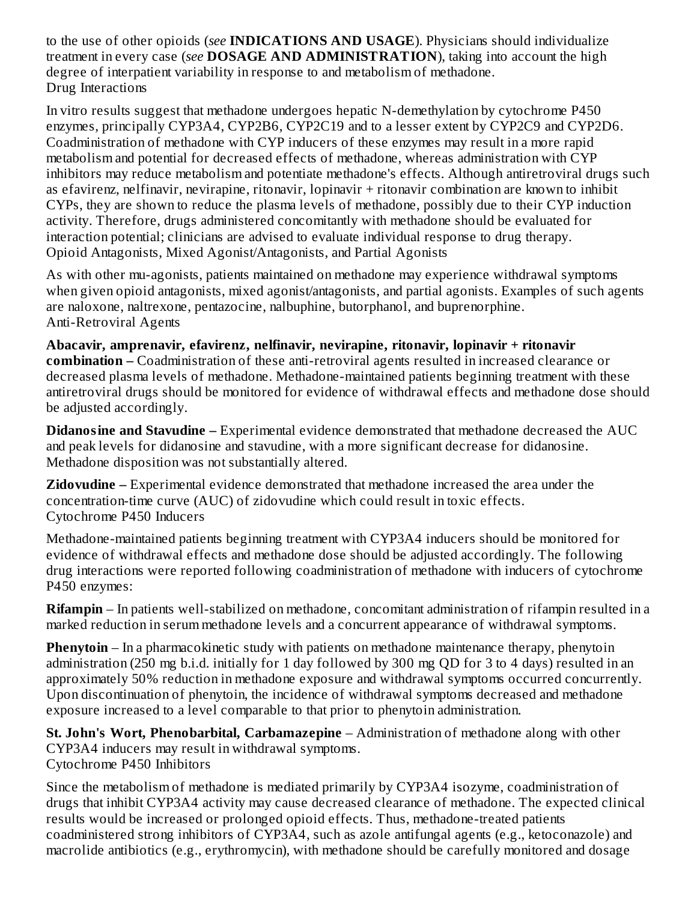to the use of other opioids (*see* **INDICATIONS AND USAGE**). Physicians should individualize treatment in every case (*see* **DOSAGE AND ADMINISTRATION**), taking into account the high degree of interpatient variability in response to and metabolism of methadone. Drug Interactions

In vitro results suggest that methadone undergoes hepatic N-demethylation by cytochrome P450 enzymes, principally CYP3A4, CYP2B6, CYP2C19 and to a lesser extent by CYP2C9 and CYP2D6. Coadministration of methadone with CYP inducers of these enzymes may result in a more rapid metabolism and potential for decreased effects of methadone, whereas administration with CYP inhibitors may reduce metabolism and potentiate methadone's effects. Although antiretroviral drugs such as efavirenz, nelfinavir, nevirapine, ritonavir, lopinavir + ritonavir combination are known to inhibit CYPs, they are shown to reduce the plasma levels of methadone, possibly due to their CYP induction activity. Therefore, drugs administered concomitantly with methadone should be evaluated for interaction potential; clinicians are advised to evaluate individual response to drug therapy. Opioid Antagonists, Mixed Agonist/Antagonists, and Partial Agonists

As with other mu-agonists, patients maintained on methadone may experience withdrawal symptoms when given opioid antagonists, mixed agonist/antagonists, and partial agonists. Examples of such agents are naloxone, naltrexone, pentazocine, nalbuphine, butorphanol, and buprenorphine. Anti-Retroviral Agents

**Abacavir, amprenavir, efavirenz, nelfinavir, nevirapine, ritonavir, lopinavir + ritonavir combination –** Coadministration of these anti-retroviral agents resulted in increased clearance or decreased plasma levels of methadone. Methadone-maintained patients beginning treatment with these antiretroviral drugs should be monitored for evidence of withdrawal effects and methadone dose should be adjusted accordingly.

**Didanosine and Stavudine –** Experimental evidence demonstrated that methadone decreased the AUC and peak levels for didanosine and stavudine, with a more significant decrease for didanosine. Methadone disposition was not substantially altered.

**Zidovudine –** Experimental evidence demonstrated that methadone increased the area under the concentration-time curve (AUC) of zidovudine which could result in toxic effects. Cytochrome P450 Inducers

Methadone-maintained patients beginning treatment with CYP3A4 inducers should be monitored for evidence of withdrawal effects and methadone dose should be adjusted accordingly. The following drug interactions were reported following coadministration of methadone with inducers of cytochrome P450 enzymes:

**Rifampin** – In patients well-stabilized on methadone, concomitant administration of rifampin resulted in a marked reduction in serum methadone levels and a concurrent appearance of withdrawal symptoms.

**Phenytoin** – In a pharmacokinetic study with patients on methadone maintenance therapy, phenytoin administration (250 mg b.i.d. initially for 1 day followed by 300 mg QD for 3 to 4 days) resulted in an approximately 50% reduction in methadone exposure and withdrawal symptoms occurred concurrently. Upon discontinuation of phenytoin, the incidence of withdrawal symptoms decreased and methadone exposure increased to a level comparable to that prior to phenytoin administration.

**St. John's Wort, Phenobarbital, Carbamazepine** – Administration of methadone along with other CYP3A4 inducers may result in withdrawal symptoms. Cytochrome P450 Inhibitors

Since the metabolism of methadone is mediated primarily by CYP3A4 isozyme, coadministration of drugs that inhibit CYP3A4 activity may cause decreased clearance of methadone. The expected clinical results would be increased or prolonged opioid effects. Thus, methadone-treated patients coadministered strong inhibitors of CYP3A4, such as azole antifungal agents (e.g., ketoconazole) and macrolide antibiotics (e.g., erythromycin), with methadone should be carefully monitored and dosage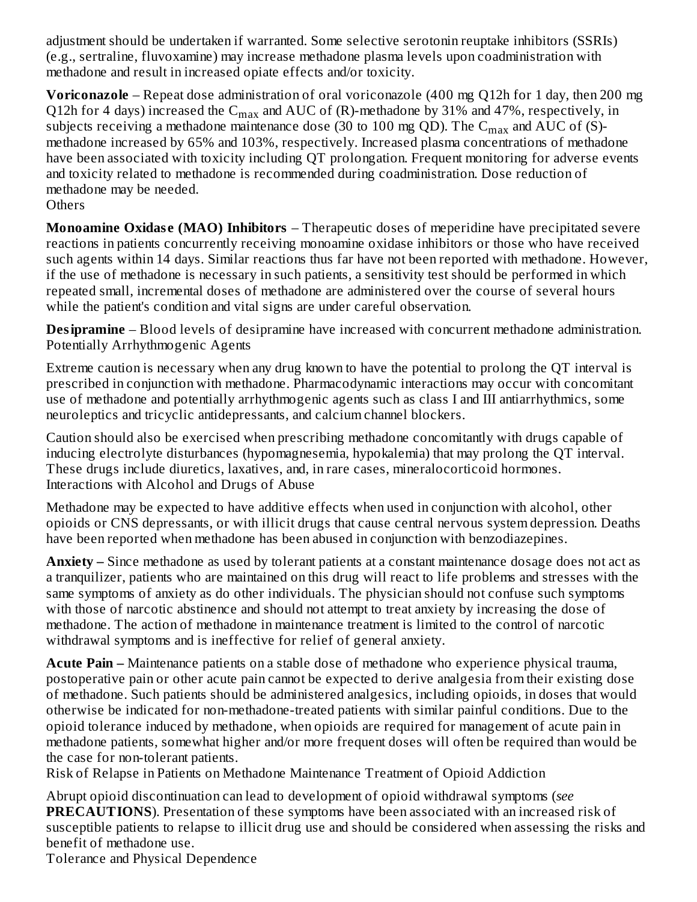adjustment should be undertaken if warranted. Some selective serotonin reuptake inhibitors (SSRIs) (e.g., sertraline, fluvoxamine) may increase methadone plasma levels upon coadministration with methadone and result in increased opiate effects and/or toxicity.

**Voriconazole** – Repeat dose administration of oral voriconazole (400 mg Q12h for 1 day, then 200 mg Q12h for 4 days) increased the  $\rm C_{max}$  and AUC of (R)-methadone by 31% and 47%, respectively, in subjects receiving a methadone maintenance dose (30 to 100 mg QD). The  $\mathsf{C}_{\max}$  and  $\mathrm{AUC}$  of (S)methadone increased by 65% and 103%, respectively. Increased plasma concentrations of methadone have been associated with toxicity including QT prolongation. Frequent monitoring for adverse events and toxicity related to methadone is recommended during coadministration. Dose reduction of methadone may be needed.

**Others** 

**Monoamine Oxidas e (MAO) Inhibitors** – Therapeutic doses of meperidine have precipitated severe reactions in patients concurrently receiving monoamine oxidase inhibitors or those who have received such agents within 14 days. Similar reactions thus far have not been reported with methadone. However, if the use of methadone is necessary in such patients, a sensitivity test should be performed in which repeated small, incremental doses of methadone are administered over the course of several hours while the patient's condition and vital signs are under careful observation.

**Desipramine** – Blood levels of desipramine have increased with concurrent methadone administration. Potentially Arrhythmogenic Agents

Extreme caution is necessary when any drug known to have the potential to prolong the QT interval is prescribed in conjunction with methadone. Pharmacodynamic interactions may occur with concomitant use of methadone and potentially arrhythmogenic agents such as class I and III antiarrhythmics, some neuroleptics and tricyclic antidepressants, and calcium channel blockers.

Caution should also be exercised when prescribing methadone concomitantly with drugs capable of inducing electrolyte disturbances (hypomagnesemia, hypokalemia) that may prolong the QT interval. These drugs include diuretics, laxatives, and, in rare cases, mineralocorticoid hormones. Interactions with Alcohol and Drugs of Abuse

Methadone may be expected to have additive effects when used in conjunction with alcohol, other opioids or CNS depressants, or with illicit drugs that cause central nervous system depression. Deaths have been reported when methadone has been abused in conjunction with benzodiazepines.

**Anxiety –** Since methadone as used by tolerant patients at a constant maintenance dosage does not act as a tranquilizer, patients who are maintained on this drug will react to life problems and stresses with the same symptoms of anxiety as do other individuals. The physician should not confuse such symptoms with those of narcotic abstinence and should not attempt to treat anxiety by increasing the dose of methadone. The action of methadone in maintenance treatment is limited to the control of narcotic withdrawal symptoms and is ineffective for relief of general anxiety.

**Acute Pain –** Maintenance patients on a stable dose of methadone who experience physical trauma, postoperative pain or other acute pain cannot be expected to derive analgesia from their existing dose of methadone. Such patients should be administered analgesics, including opioids, in doses that would otherwise be indicated for non-methadone-treated patients with similar painful conditions. Due to the opioid tolerance induced by methadone, when opioids are required for management of acute pain in methadone patients, somewhat higher and/or more frequent doses will often be required than would be the case for non-tolerant patients.

Risk of Relapse in Patients on Methadone Maintenance Treatment of Opioid Addiction

Abrupt opioid discontinuation can lead to development of opioid withdrawal symptoms (*see* **PRECAUTIONS**). Presentation of these symptoms have been associated with an increased risk of susceptible patients to relapse to illicit drug use and should be considered when assessing the risks and benefit of methadone use.

Tolerance and Physical Dependence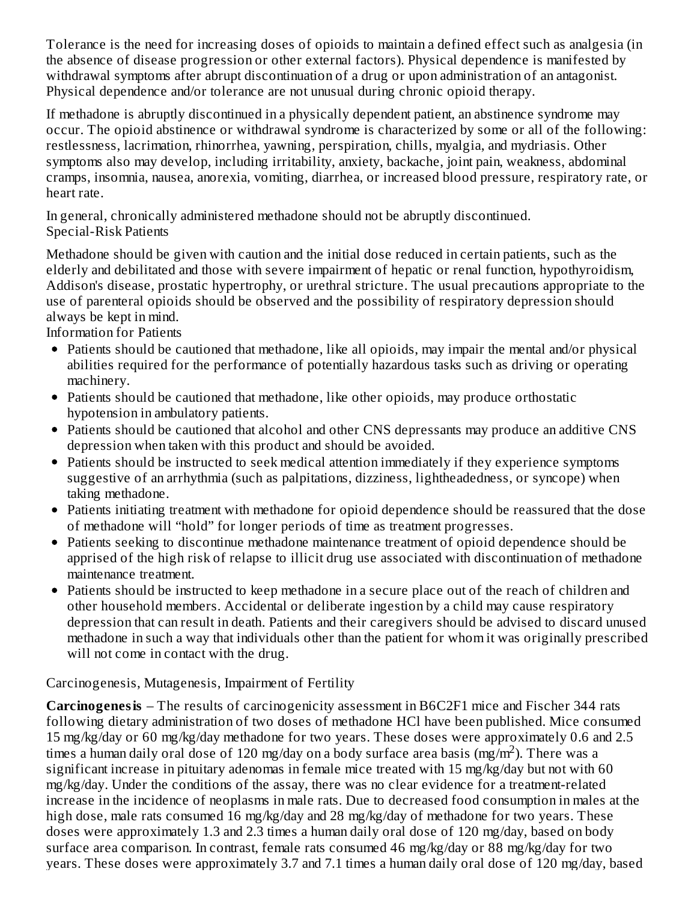Tolerance is the need for increasing doses of opioids to maintain a defined effect such as analgesia (in the absence of disease progression or other external factors). Physical dependence is manifested by withdrawal symptoms after abrupt discontinuation of a drug or upon administration of an antagonist. Physical dependence and/or tolerance are not unusual during chronic opioid therapy.

If methadone is abruptly discontinued in a physically dependent patient, an abstinence syndrome may occur. The opioid abstinence or withdrawal syndrome is characterized by some or all of the following: restlessness, lacrimation, rhinorrhea, yawning, perspiration, chills, myalgia, and mydriasis. Other symptoms also may develop, including irritability, anxiety, backache, joint pain, weakness, abdominal cramps, insomnia, nausea, anorexia, vomiting, diarrhea, or increased blood pressure, respiratory rate, or heart rate.

In general, chronically administered methadone should not be abruptly discontinued. Special-Risk Patients

Methadone should be given with caution and the initial dose reduced in certain patients, such as the elderly and debilitated and those with severe impairment of hepatic or renal function, hypothyroidism, Addison's disease, prostatic hypertrophy, or urethral stricture. The usual precautions appropriate to the use of parenteral opioids should be observed and the possibility of respiratory depression should always be kept in mind.

Information for Patients

- Patients should be cautioned that methadone, like all opioids, may impair the mental and/or physical abilities required for the performance of potentially hazardous tasks such as driving or operating machinery.
- Patients should be cautioned that methadone, like other opioids, may produce orthostatic hypotension in ambulatory patients.
- Patients should be cautioned that alcohol and other CNS depressants may produce an additive CNS depression when taken with this product and should be avoided.
- Patients should be instructed to seek medical attention immediately if they experience symptoms suggestive of an arrhythmia (such as palpitations, dizziness, lightheadedness, or syncope) when taking methadone.
- Patients initiating treatment with methadone for opioid dependence should be reassured that the dose of methadone will "hold" for longer periods of time as treatment progresses.
- Patients seeking to discontinue methadone maintenance treatment of opioid dependence should be apprised of the high risk of relapse to illicit drug use associated with discontinuation of methadone maintenance treatment.
- Patients should be instructed to keep methadone in a secure place out of the reach of children and other household members. Accidental or deliberate ingestion by a child may cause respiratory depression that can result in death. Patients and their caregivers should be advised to discard unused methadone in such a way that individuals other than the patient for whom it was originally prescribed will not come in contact with the drug.

Carcinogenesis, Mutagenesis, Impairment of Fertility

**Carcinogenesis** – The results of carcinogenicity assessment in B6C2F1 mice and Fischer 344 rats following dietary administration of two doses of methadone HCl have been published. Mice consumed 15 mg/kg/day or 60 mg/kg/day methadone for two years. These doses were approximately 0.6 and 2.5 times a human daily oral dose of 120 mg/day on a body surface area basis (mg/m<sup>2</sup>). There was a significant increase in pituitary adenomas in female mice treated with 15 mg/kg/day but not with 60 mg/kg/day. Under the conditions of the assay, there was no clear evidence for a treatment-related increase in the incidence of neoplasms in male rats. Due to decreased food consumption in males at the high dose, male rats consumed 16 mg/kg/day and 28 mg/kg/day of methadone for two years. These doses were approximately 1.3 and 2.3 times a human daily oral dose of 120 mg/day, based on body surface area comparison. In contrast, female rats consumed 46 mg/kg/day or 88 mg/kg/day for two years. These doses were approximately 3.7 and 7.1 times a human daily oral dose of 120 mg/day, based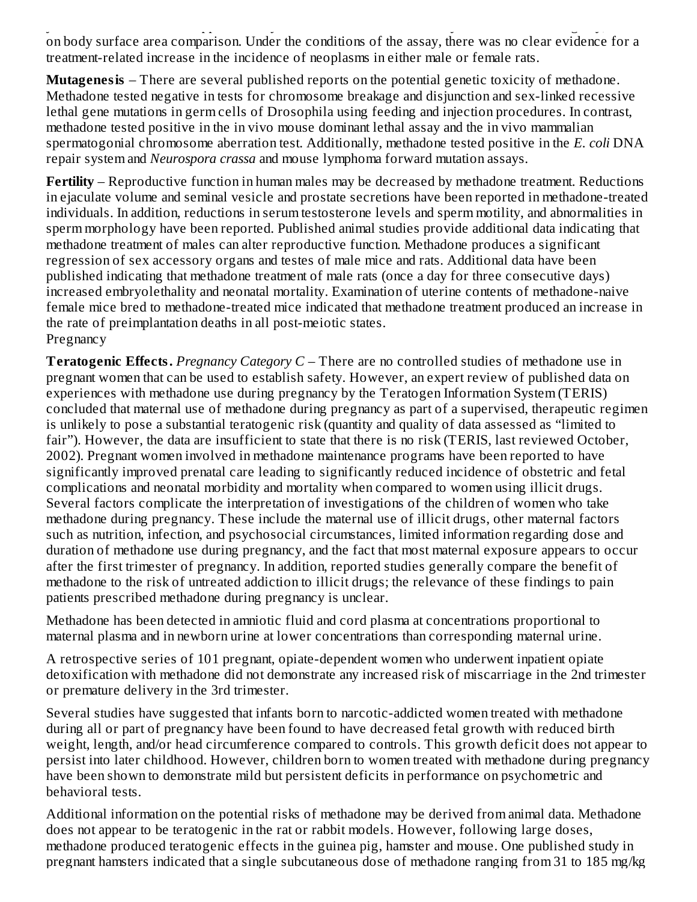years. These doses were approximately 3.7 and 7.1 times a human daily oral dose of 120 mg/day, based on body surface area comparison. Under the conditions of the assay, there was no clear evidence for a treatment-related increase in the incidence of neoplasms in either male or female rats.

**Mutagenesis** – There are several published reports on the potential genetic toxicity of methadone. Methadone tested negative in tests for chromosome breakage and disjunction and sex-linked recessive lethal gene mutations in germ cells of Drosophila using feeding and injection procedures. In contrast, methadone tested positive in the in vivo mouse dominant lethal assay and the in vivo mammalian spermatogonial chromosome aberration test. Additionally, methadone tested positive in the *E. coli* DNA repair system and *Neurospora crassa* and mouse lymphoma forward mutation assays.

**Fertility** – Reproductive function in human males may be decreased by methadone treatment. Reductions in ejaculate volume and seminal vesicle and prostate secretions have been reported in methadone-treated individuals. In addition, reductions in serum testosterone levels and sperm motility, and abnormalities in sperm morphology have been reported. Published animal studies provide additional data indicating that methadone treatment of males can alter reproductive function. Methadone produces a significant regression of sex accessory organs and testes of male mice and rats. Additional data have been published indicating that methadone treatment of male rats (once a day for three consecutive days) increased embryolethality and neonatal mortality. Examination of uterine contents of methadone-naive female mice bred to methadone-treated mice indicated that methadone treatment produced an increase in the rate of preimplantation deaths in all post-meiotic states. Pregnancy

**Teratogenic Effects.** *Pregnancy Category C* – There are no controlled studies of methadone use in pregnant women that can be used to establish safety. However, an expert review of published data on experiences with methadone use during pregnancy by the Teratogen Information System (TERIS) concluded that maternal use of methadone during pregnancy as part of a supervised, therapeutic regimen is unlikely to pose a substantial teratogenic risk (quantity and quality of data assessed as "limited to fair"). However, the data are insufficient to state that there is no risk (TERIS, last reviewed October, 2002). Pregnant women involved in methadone maintenance programs have been reported to have significantly improved prenatal care leading to significantly reduced incidence of obstetric and fetal complications and neonatal morbidity and mortality when compared to women using illicit drugs. Several factors complicate the interpretation of investigations of the children of women who take methadone during pregnancy. These include the maternal use of illicit drugs, other maternal factors such as nutrition, infection, and psychosocial circumstances, limited information regarding dose and duration of methadone use during pregnancy, and the fact that most maternal exposure appears to occur after the first trimester of pregnancy. In addition, reported studies generally compare the benefit of methadone to the risk of untreated addiction to illicit drugs; the relevance of these findings to pain patients prescribed methadone during pregnancy is unclear.

Methadone has been detected in amniotic fluid and cord plasma at concentrations proportional to maternal plasma and in newborn urine at lower concentrations than corresponding maternal urine.

A retrospective series of 101 pregnant, opiate-dependent women who underwent inpatient opiate detoxification with methadone did not demonstrate any increased risk of miscarriage in the 2nd trimester or premature delivery in the 3rd trimester.

Several studies have suggested that infants born to narcotic-addicted women treated with methadone during all or part of pregnancy have been found to have decreased fetal growth with reduced birth weight, length, and/or head circumference compared to controls. This growth deficit does not appear to persist into later childhood. However, children born to women treated with methadone during pregnancy have been shown to demonstrate mild but persistent deficits in performance on psychometric and behavioral tests.

Additional information on the potential risks of methadone may be derived from animal data. Methadone does not appear to be teratogenic in the rat or rabbit models. However, following large doses, methadone produced teratogenic effects in the guinea pig, hamster and mouse. One published study in pregnant hamsters indicated that a single subcutaneous dose of methadone ranging from 31 to 185 mg/kg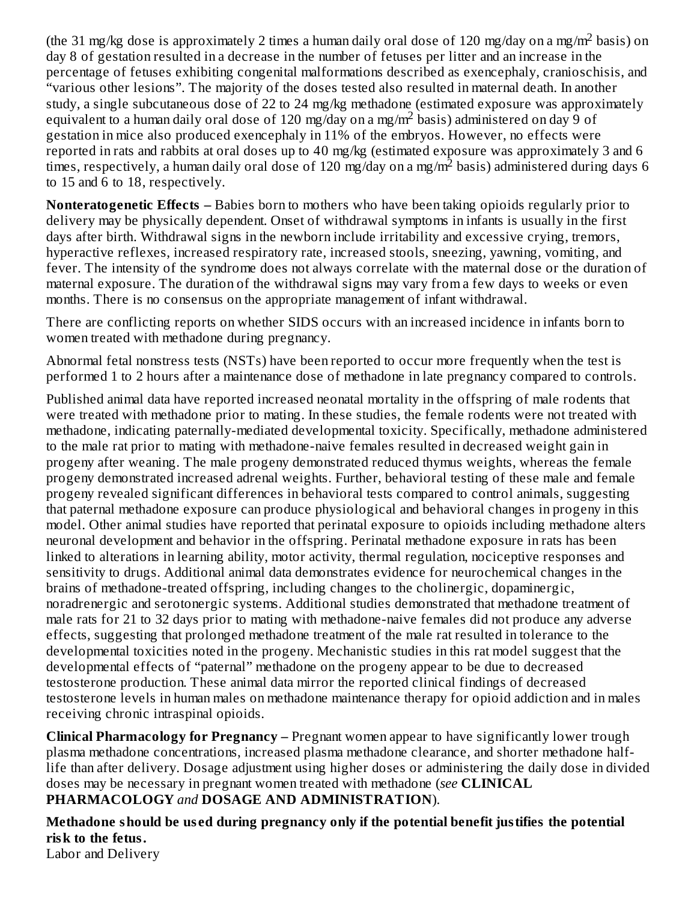(the 31 mg/kg dose is approximately 2 times a human daily oral dose of 120 mg/day on a mg/m<sup>2</sup> basis) on day 8 of gestation resulted in a decrease in the number of fetuses per litter and an increase in the percentage of fetuses exhibiting congenital malformations described as exencephaly, cranioschisis, and "various other lesions". The majority of the doses tested also resulted in maternal death. In another study, a single subcutaneous dose of 22 to 24 mg/kg methadone (estimated exposure was approximately equivalent to a human daily oral dose of 120 mg/day on a mg/m<sup>2</sup> basis) administered on day 9 of gestation in mice also produced exencephaly in 11% of the embryos. However, no effects were reported in rats and rabbits at oral doses up to 40 mg/kg (estimated exposure was approximately 3 and 6 times, respectively, a human daily oral dose of 120 mg/day on a mg/m<sup>2</sup> basis) administered during days 6 to 15 and 6 to 18, respectively.

**Nonteratogenetic Effects –** Babies born to mothers who have been taking opioids regularly prior to delivery may be physically dependent. Onset of withdrawal symptoms in infants is usually in the first days after birth. Withdrawal signs in the newborn include irritability and excessive crying, tremors, hyperactive reflexes, increased respiratory rate, increased stools, sneezing, yawning, vomiting, and fever. The intensity of the syndrome does not always correlate with the maternal dose or the duration of maternal exposure. The duration of the withdrawal signs may vary from a few days to weeks or even months. There is no consensus on the appropriate management of infant withdrawal.

There are conflicting reports on whether SIDS occurs with an increased incidence in infants born to women treated with methadone during pregnancy.

Abnormal fetal nonstress tests (NSTs) have been reported to occur more frequently when the test is performed 1 to 2 hours after a maintenance dose of methadone in late pregnancy compared to controls.

Published animal data have reported increased neonatal mortality in the offspring of male rodents that were treated with methadone prior to mating. In these studies, the female rodents were not treated with methadone, indicating paternally-mediated developmental toxicity. Specifically, methadone administered to the male rat prior to mating with methadone-naive females resulted in decreased weight gain in progeny after weaning. The male progeny demonstrated reduced thymus weights, whereas the female progeny demonstrated increased adrenal weights. Further, behavioral testing of these male and female progeny revealed significant differences in behavioral tests compared to control animals, suggesting that paternal methadone exposure can produce physiological and behavioral changes in progeny in this model. Other animal studies have reported that perinatal exposure to opioids including methadone alters neuronal development and behavior in the offspring. Perinatal methadone exposure in rats has been linked to alterations in learning ability, motor activity, thermal regulation, nociceptive responses and sensitivity to drugs. Additional animal data demonstrates evidence for neurochemical changes in the brains of methadone-treated offspring, including changes to the cholinergic, dopaminergic, noradrenergic and serotonergic systems. Additional studies demonstrated that methadone treatment of male rats for 21 to 32 days prior to mating with methadone-naive females did not produce any adverse effects, suggesting that prolonged methadone treatment of the male rat resulted in tolerance to the developmental toxicities noted in the progeny. Mechanistic studies in this rat model suggest that the developmental effects of "paternal" methadone on the progeny appear to be due to decreased testosterone production. These animal data mirror the reported clinical findings of decreased testosterone levels in human males on methadone maintenance therapy for opioid addiction and in males receiving chronic intraspinal opioids.

**Clinical Pharmacology for Pregnancy –** Pregnant women appear to have significantly lower trough plasma methadone concentrations, increased plasma methadone clearance, and shorter methadone halflife than after delivery. Dosage adjustment using higher doses or administering the daily dose in divided doses may be necessary in pregnant women treated with methadone (*see* **CLINICAL PHARMACOLOGY** *and* **DOSAGE AND ADMINISTRATION**).

**Methadone should be us ed during pregnancy only if the potential benefit justifies the potential risk to the fetus.**

Labor and Delivery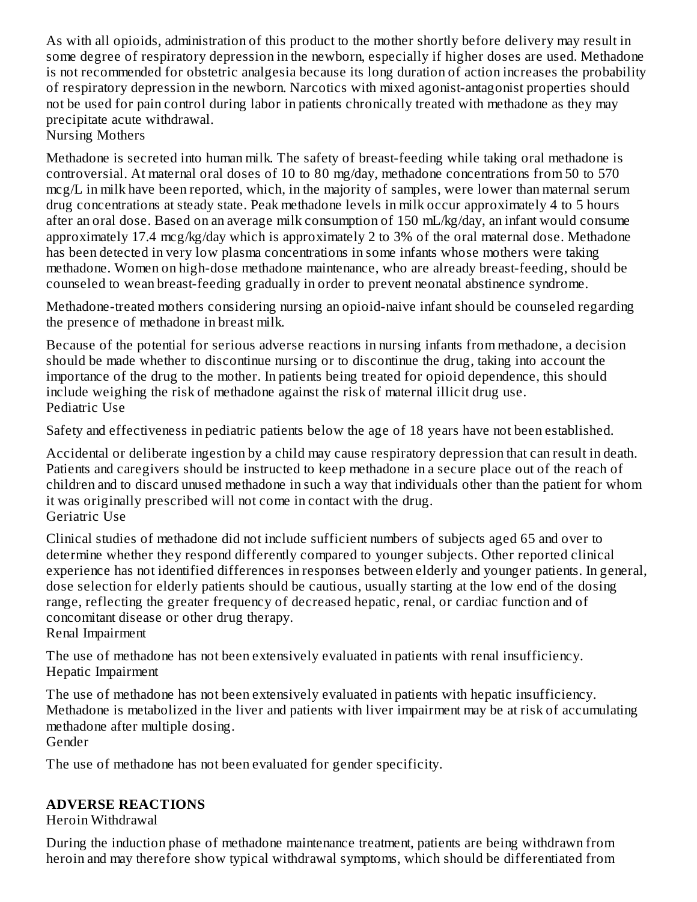As with all opioids, administration of this product to the mother shortly before delivery may result in some degree of respiratory depression in the newborn, especially if higher doses are used. Methadone is not recommended for obstetric analgesia because its long duration of action increases the probability of respiratory depression in the newborn. Narcotics with mixed agonist-antagonist properties should not be used for pain control during labor in patients chronically treated with methadone as they may precipitate acute withdrawal.

Nursing Mothers

Methadone is secreted into human milk. The safety of breast-feeding while taking oral methadone is controversial. At maternal oral doses of 10 to 80 mg/day, methadone concentrations from 50 to 570 mcg/L in milk have been reported, which, in the majority of samples, were lower than maternal serum drug concentrations at steady state. Peak methadone levels in milk occur approximately 4 to 5 hours after an oral dose. Based on an average milk consumption of 150 mL/kg/day, an infant would consume approximately 17.4 mcg/kg/day which is approximately 2 to 3% of the oral maternal dose. Methadone has been detected in very low plasma concentrations in some infants whose mothers were taking methadone. Women on high-dose methadone maintenance, who are already breast-feeding, should be counseled to wean breast-feeding gradually in order to prevent neonatal abstinence syndrome.

Methadone-treated mothers considering nursing an opioid-naive infant should be counseled regarding the presence of methadone in breast milk.

Because of the potential for serious adverse reactions in nursing infants from methadone, a decision should be made whether to discontinue nursing or to discontinue the drug, taking into account the importance of the drug to the mother. In patients being treated for opioid dependence, this should include weighing the risk of methadone against the risk of maternal illicit drug use. Pediatric Use

Safety and effectiveness in pediatric patients below the age of 18 years have not been established.

Accidental or deliberate ingestion by a child may cause respiratory depression that can result in death. Patients and caregivers should be instructed to keep methadone in a secure place out of the reach of children and to discard unused methadone in such a way that individuals other than the patient for whom it was originally prescribed will not come in contact with the drug. Geriatric Use

Clinical studies of methadone did not include sufficient numbers of subjects aged 65 and over to determine whether they respond differently compared to younger subjects. Other reported clinical experience has not identified differences in responses between elderly and younger patients. In general, dose selection for elderly patients should be cautious, usually starting at the low end of the dosing range, reflecting the greater frequency of decreased hepatic, renal, or cardiac function and of concomitant disease or other drug therapy. Renal Impairment

The use of methadone has not been extensively evaluated in patients with renal insufficiency.

Hepatic Impairment

The use of methadone has not been extensively evaluated in patients with hepatic insufficiency. Methadone is metabolized in the liver and patients with liver impairment may be at risk of accumulating methadone after multiple dosing. Gender

The use of methadone has not been evaluated for gender specificity.

# **ADVERSE REACTIONS**

Heroin Withdrawal

During the induction phase of methadone maintenance treatment, patients are being withdrawn from heroin and may therefore show typical withdrawal symptoms, which should be differentiated from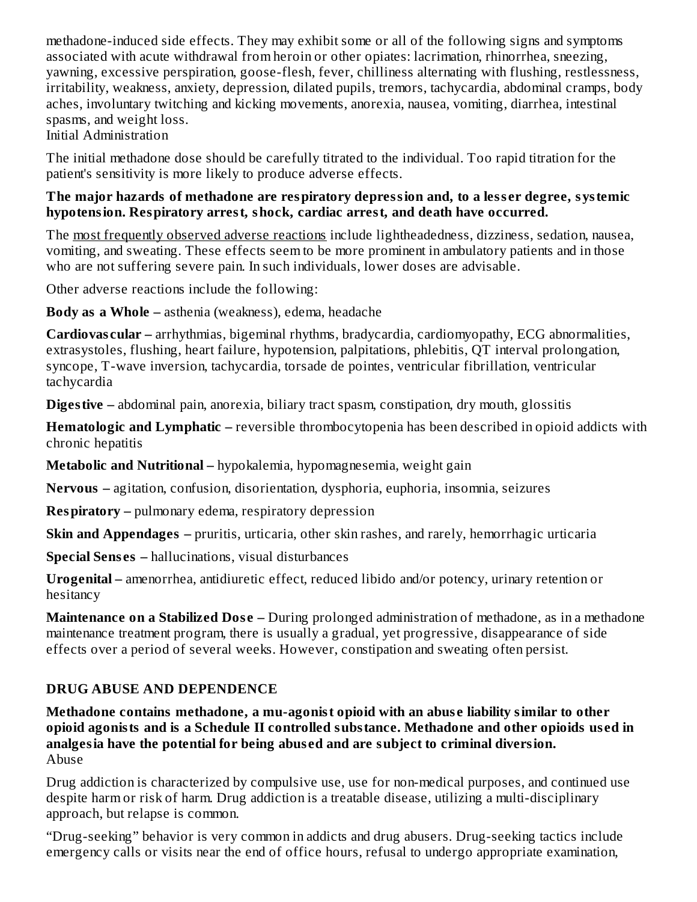methadone-induced side effects. They may exhibit some or all of the following signs and symptoms associated with acute withdrawal from heroin or other opiates: lacrimation, rhinorrhea, sneezing, yawning, excessive perspiration, goose-flesh, fever, chilliness alternating with flushing, restlessness, irritability, weakness, anxiety, depression, dilated pupils, tremors, tachycardia, abdominal cramps, body aches, involuntary twitching and kicking movements, anorexia, nausea, vomiting, diarrhea, intestinal spasms, and weight loss.

Initial Administration

The initial methadone dose should be carefully titrated to the individual. Too rapid titration for the patient's sensitivity is more likely to produce adverse effects.

#### **The major hazards of methadone are respiratory depression and, to a less er degree, systemic hypotension. Respiratory arrest, shock, cardiac arrest, and death have occurred.**

The most frequently observed adverse reactions include lightheadedness, dizziness, sedation, nausea, vomiting, and sweating. These effects seem to be more prominent in ambulatory patients and in those who are not suffering severe pain. In such individuals, lower doses are advisable.

Other adverse reactions include the following:

**Body as a Whole –** asthenia (weakness), edema, headache

**Cardiovas cular –** arrhythmias, bigeminal rhythms, bradycardia, cardiomyopathy, ECG abnormalities, extrasystoles, flushing, heart failure, hypotension, palpitations, phlebitis, QT interval prolongation, syncope, T-wave inversion, tachycardia, torsade de pointes, ventricular fibrillation, ventricular tachycardia

**Digestive –** abdominal pain, anorexia, biliary tract spasm, constipation, dry mouth, glossitis

**Hematologic and Lymphatic –** reversible thrombocytopenia has been described in opioid addicts with chronic hepatitis

**Metabolic and Nutritional –** hypokalemia, hypomagnesemia, weight gain

**Nervous –** agitation, confusion, disorientation, dysphoria, euphoria, insomnia, seizures

**Respiratory –** pulmonary edema, respiratory depression

**Skin and Appendages –** pruritis, urticaria, other skin rashes, and rarely, hemorrhagic urticaria

**Special Sens es –** hallucinations, visual disturbances

**Urogenital –** amenorrhea, antidiuretic effect, reduced libido and/or potency, urinary retention or hesitancy

**Maintenance on a Stabilized Dos e –** During prolonged administration of methadone, as in a methadone maintenance treatment program, there is usually a gradual, yet progressive, disappearance of side effects over a period of several weeks. However, constipation and sweating often persist.

# **DRUG ABUSE AND DEPENDENCE**

**Methadone contains methadone, a mu-agonist opioid with an abus e liability similar to other opioid agonists and is a Schedule II controlled substance. Methadone and other opioids us ed in analgesia have the potential for being abus ed and are subject to criminal diversion.** Abuse

Drug addiction is characterized by compulsive use, use for non-medical purposes, and continued use despite harm or risk of harm. Drug addiction is a treatable disease, utilizing a multi-disciplinary approach, but relapse is common.

"Drug-seeking" behavior is very common in addicts and drug abusers. Drug-seeking tactics include emergency calls or visits near the end of office hours, refusal to undergo appropriate examination,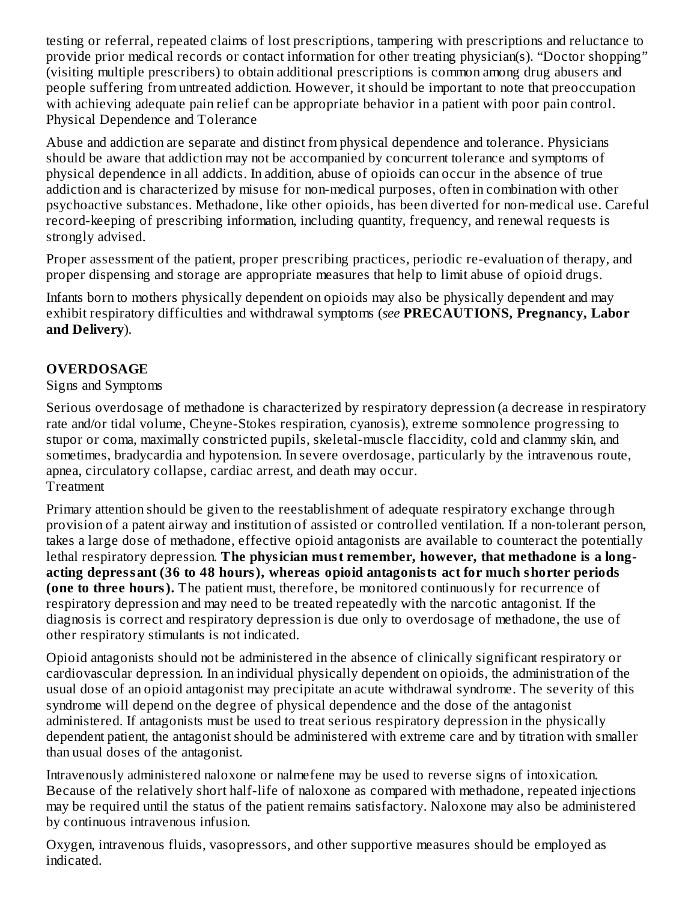testing or referral, repeated claims of lost prescriptions, tampering with prescriptions and reluctance to provide prior medical records or contact information for other treating physician(s). "Doctor shopping" (visiting multiple prescribers) to obtain additional prescriptions is common among drug abusers and people suffering from untreated addiction. However, it should be important to note that preoccupation with achieving adequate pain relief can be appropriate behavior in a patient with poor pain control. Physical Dependence and Tolerance

Abuse and addiction are separate and distinct from physical dependence and tolerance. Physicians should be aware that addiction may not be accompanied by concurrent tolerance and symptoms of physical dependence in all addicts. In addition, abuse of opioids can occur in the absence of true addiction and is characterized by misuse for non-medical purposes, often in combination with other psychoactive substances. Methadone, like other opioids, has been diverted for non-medical use. Careful record-keeping of prescribing information, including quantity, frequency, and renewal requests is strongly advised.

Proper assessment of the patient, proper prescribing practices, periodic re-evaluation of therapy, and proper dispensing and storage are appropriate measures that help to limit abuse of opioid drugs.

Infants born to mothers physically dependent on opioids may also be physically dependent and may exhibit respiratory difficulties and withdrawal symptoms (*see* **PRECAUTIONS, Pregnancy, Labor and Delivery**).

# **OVERDOSAGE**

# Signs and Symptoms

Serious overdosage of methadone is characterized by respiratory depression (a decrease in respiratory rate and/or tidal volume, Cheyne-Stokes respiration, cyanosis), extreme somnolence progressing to stupor or coma, maximally constricted pupils, skeletal-muscle flaccidity, cold and clammy skin, and sometimes, bradycardia and hypotension. In severe overdosage, particularly by the intravenous route, apnea, circulatory collapse, cardiac arrest, and death may occur. **Treatment** 

Primary attention should be given to the reestablishment of adequate respiratory exchange through provision of a patent airway and institution of assisted or controlled ventilation. If a non-tolerant person, takes a large dose of methadone, effective opioid antagonists are available to counteract the potentially lethal respiratory depression. **The physician must remember, however, that methadone is a longacting depressant (36 to 48 hours), whereas opioid antagonists act for much shorter periods (one to three hours).** The patient must, therefore, be monitored continuously for recurrence of respiratory depression and may need to be treated repeatedly with the narcotic antagonist. If the diagnosis is correct and respiratory depression is due only to overdosage of methadone, the use of other respiratory stimulants is not indicated.

Opioid antagonists should not be administered in the absence of clinically significant respiratory or cardiovascular depression. In an individual physically dependent on opioids, the administration of the usual dose of an opioid antagonist may precipitate an acute withdrawal syndrome. The severity of this syndrome will depend on the degree of physical dependence and the dose of the antagonist administered. If antagonists must be used to treat serious respiratory depression in the physically dependent patient, the antagonist should be administered with extreme care and by titration with smaller than usual doses of the antagonist.

Intravenously administered naloxone or nalmefene may be used to reverse signs of intoxication. Because of the relatively short half-life of naloxone as compared with methadone, repeated injections may be required until the status of the patient remains satisfactory. Naloxone may also be administered by continuous intravenous infusion.

Oxygen, intravenous fluids, vasopressors, and other supportive measures should be employed as indicated.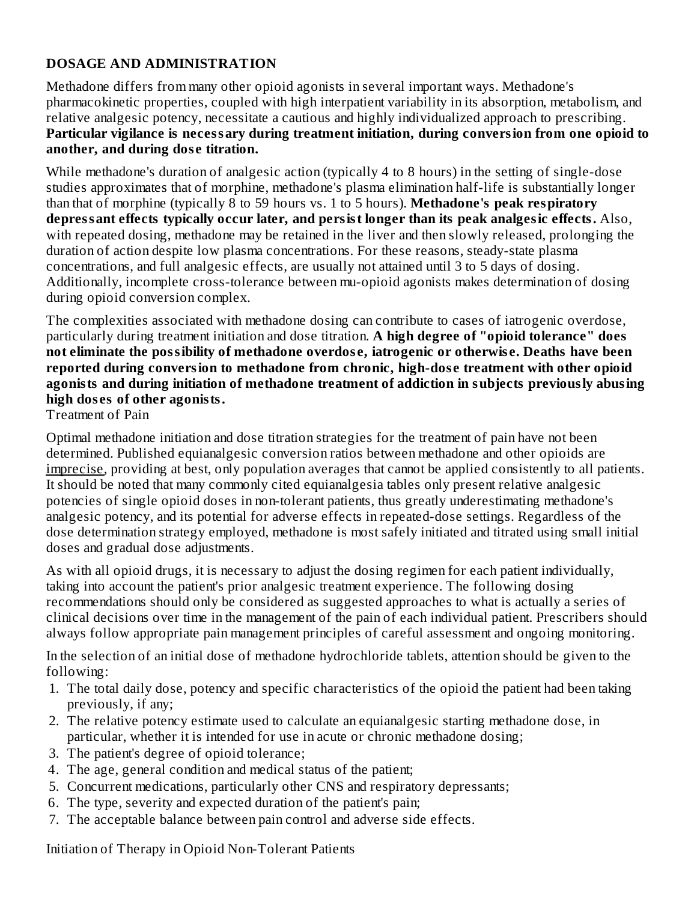# **DOSAGE AND ADMINISTRATION**

Methadone differs from many other opioid agonists in several important ways. Methadone's pharmacokinetic properties, coupled with high interpatient variability in its absorption, metabolism, and relative analgesic potency, necessitate a cautious and highly individualized approach to prescribing. **Particular vigilance is necessary during treatment initiation, during conversion from one opioid to another, and during dos e titration.**

While methadone's duration of analgesic action (typically 4 to 8 hours) in the setting of single-dose studies approximates that of morphine, methadone's plasma elimination half-life is substantially longer than that of morphine (typically 8 to 59 hours vs. 1 to 5 hours). **Methadone's peak respiratory depressant effects typically occur later, and persist longer than its peak analgesic effects.** Also, with repeated dosing, methadone may be retained in the liver and then slowly released, prolonging the duration of action despite low plasma concentrations. For these reasons, steady-state plasma concentrations, and full analgesic effects, are usually not attained until 3 to 5 days of dosing. Additionally, incomplete cross-tolerance between mu-opioid agonists makes determination of dosing during opioid conversion complex.

The complexities associated with methadone dosing can contribute to cases of iatrogenic overdose, particularly during treatment initiation and dose titration. **A high degree of "opioid tolerance" does not eliminate the possibility of methadone overdos e, iatrogenic or otherwis e. Deaths have been reported during conversion to methadone from chronic, high-dos e treatment with other opioid agonists and during initiation of methadone treatment of addiction in subjects previously abusing high dos es of other agonists.**

Treatment of Pain

Optimal methadone initiation and dose titration strategies for the treatment of pain have not been determined. Published equianalgesic conversion ratios between methadone and other opioids are imprecise, providing at best, only population averages that cannot be applied consistently to all patients. It should be noted that many commonly cited equianalgesia tables only present relative analgesic potencies of single opioid doses in non-tolerant patients, thus greatly underestimating methadone's analgesic potency, and its potential for adverse effects in repeated-dose settings. Regardless of the dose determination strategy employed, methadone is most safely initiated and titrated using small initial doses and gradual dose adjustments.

As with all opioid drugs, it is necessary to adjust the dosing regimen for each patient individually, taking into account the patient's prior analgesic treatment experience. The following dosing recommendations should only be considered as suggested approaches to what is actually a series of clinical decisions over time in the management of the pain of each individual patient. Prescribers should always follow appropriate pain management principles of careful assessment and ongoing monitoring.

In the selection of an initial dose of methadone hydrochloride tablets, attention should be given to the following:

- 1. The total daily dose, potency and specific characteristics of the opioid the patient had been taking previously, if any;
- 2. The relative potency estimate used to calculate an equianalgesic starting methadone dose, in particular, whether it is intended for use in acute or chronic methadone dosing;
- 3. The patient's degree of opioid tolerance;
- 4. The age, general condition and medical status of the patient;
- 5. Concurrent medications, particularly other CNS and respiratory depressants;
- 6. The type, severity and expected duration of the patient's pain;
- 7. The acceptable balance between pain control and adverse side effects.

Initiation of Therapy in Opioid Non-Tolerant Patients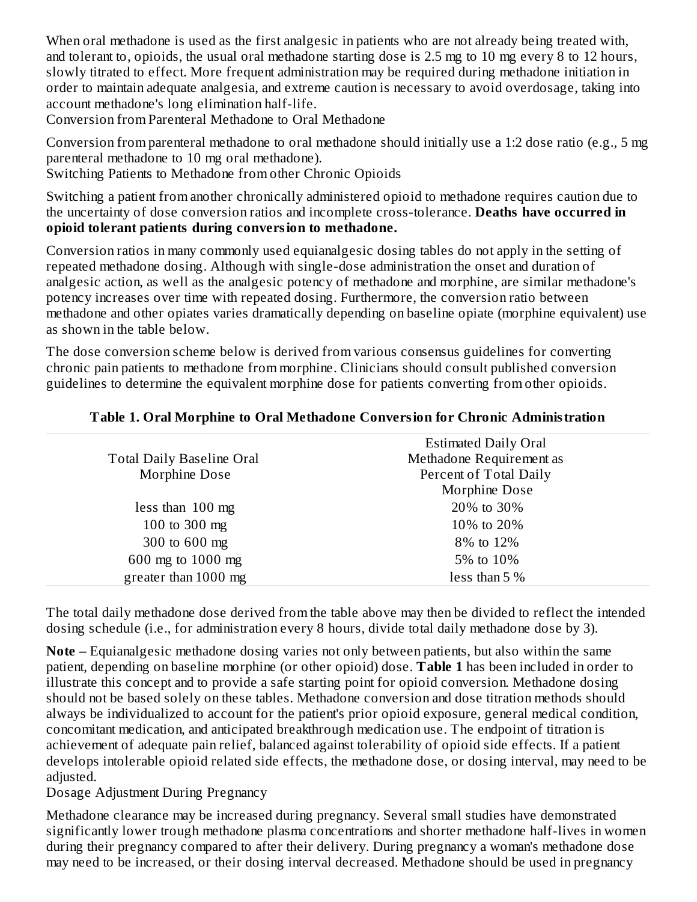When oral methadone is used as the first analgesic in patients who are not already being treated with, and tolerant to, opioids, the usual oral methadone starting dose is 2.5 mg to 10 mg every 8 to 12 hours, slowly titrated to effect. More frequent administration may be required during methadone initiation in order to maintain adequate analgesia, and extreme caution is necessary to avoid overdosage, taking into account methadone's long elimination half-life.

Conversion from Parenteral Methadone to Oral Methadone

Conversion from parenteral methadone to oral methadone should initially use a 1:2 dose ratio (e.g., 5 mg parenteral methadone to 10 mg oral methadone).

Switching Patients to Methadone from other Chronic Opioids

Switching a patient from another chronically administered opioid to methadone requires caution due to the uncertainty of dose conversion ratios and incomplete cross-tolerance. **Deaths have occurred in opioid tolerant patients during conversion to methadone.**

Conversion ratios in many commonly used equianalgesic dosing tables do not apply in the setting of repeated methadone dosing. Although with single-dose administration the onset and duration of analgesic action, as well as the analgesic potency of methadone and morphine, are similar methadone's potency increases over time with repeated dosing. Furthermore, the conversion ratio between methadone and other opiates varies dramatically depending on baseline opiate (morphine equivalent) use as shown in the table below.

The dose conversion scheme below is derived from various consensus guidelines for converting chronic pain patients to methadone from morphine. Clinicians should consult published conversion guidelines to determine the equivalent morphine dose for patients converting from other opioids.

|                                  | <b>Estimated Daily Oral</b> |
|----------------------------------|-----------------------------|
| <b>Total Daily Baseline Oral</b> | Methadone Requirement as    |
| Morphine Dose                    | Percent of Total Daily      |
|                                  | Morphine Dose               |
| less than $100$ mg               | 20% to 30%                  |
| 100 to 300 mg                    | 10% to 20%                  |
| 300 to 600 mg                    | 8% to 12%                   |
| 600 mg to 1000 mg                | 5% to 10%                   |
| greater than 1000 mg             | less than $5\%$             |

#### **Table 1. Oral Morphine to Oral Methadone Conversion for Chronic Administration**

The total daily methadone dose derived from the table above may then be divided to reflect the intended dosing schedule (i.e., for administration every 8 hours, divide total daily methadone dose by 3).

**Note –** Equianalgesic methadone dosing varies not only between patients, but also within the same patient, depending on baseline morphine (or other opioid) dose. **Table 1** has been included in order to illustrate this concept and to provide a safe starting point for opioid conversion. Methadone dosing should not be based solely on these tables. Methadone conversion and dose titration methods should always be individualized to account for the patient's prior opioid exposure, general medical condition, concomitant medication, and anticipated breakthrough medication use. The endpoint of titration is achievement of adequate pain relief, balanced against tolerability of opioid side effects. If a patient develops intolerable opioid related side effects, the methadone dose, or dosing interval, may need to be adjusted.

Dosage Adjustment During Pregnancy

Methadone clearance may be increased during pregnancy. Several small studies have demonstrated significantly lower trough methadone plasma concentrations and shorter methadone half-lives in women during their pregnancy compared to after their delivery. During pregnancy a woman's methadone dose may need to be increased, or their dosing interval decreased. Methadone should be used in pregnancy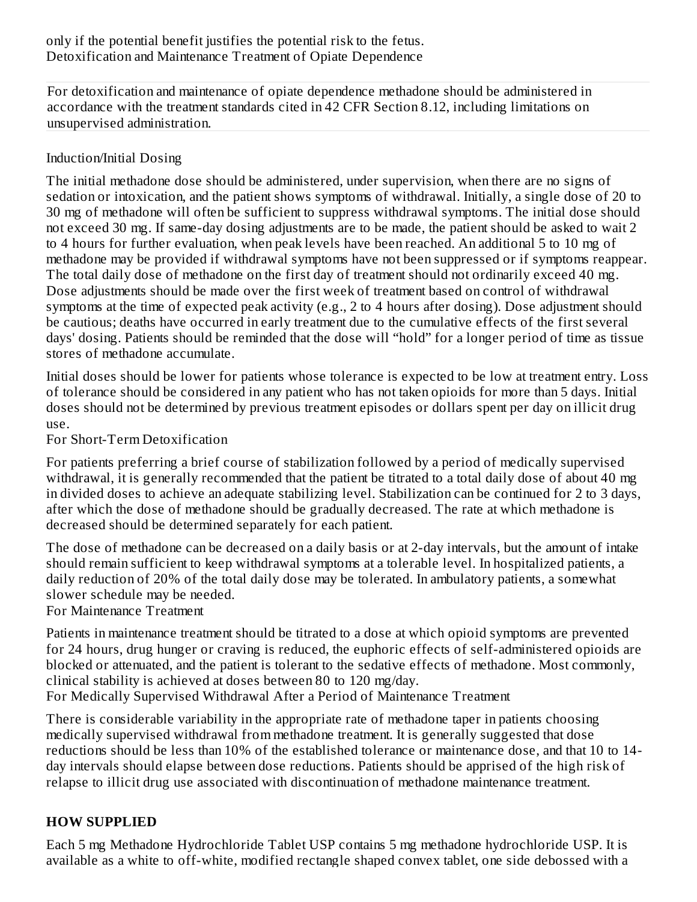For detoxification and maintenance of opiate dependence methadone should be administered in accordance with the treatment standards cited in 42 CFR Section 8.12, including limitations on unsupervised administration.

#### Induction/Initial Dosing

The initial methadone dose should be administered, under supervision, when there are no signs of sedation or intoxication, and the patient shows symptoms of withdrawal. Initially, a single dose of 20 to 30 mg of methadone will often be sufficient to suppress withdrawal symptoms. The initial dose should not exceed 30 mg. If same-day dosing adjustments are to be made, the patient should be asked to wait 2 to 4 hours for further evaluation, when peak levels have been reached. An additional 5 to 10 mg of methadone may be provided if withdrawal symptoms have not been suppressed or if symptoms reappear. The total daily dose of methadone on the first day of treatment should not ordinarily exceed 40 mg. Dose adjustments should be made over the first week of treatment based on control of withdrawal symptoms at the time of expected peak activity (e.g., 2 to 4 hours after dosing). Dose adjustment should be cautious; deaths have occurred in early treatment due to the cumulative effects of the first several days' dosing. Patients should be reminded that the dose will "hold" for a longer period of time as tissue stores of methadone accumulate.

Initial doses should be lower for patients whose tolerance is expected to be low at treatment entry. Loss of tolerance should be considered in any patient who has not taken opioids for more than 5 days. Initial doses should not be determined by previous treatment episodes or dollars spent per day on illicit drug use.

For Short-Term Detoxification

For patients preferring a brief course of stabilization followed by a period of medically supervised withdrawal, it is generally recommended that the patient be titrated to a total daily dose of about 40 mg in divided doses to achieve an adequate stabilizing level. Stabilization can be continued for 2 to 3 days, after which the dose of methadone should be gradually decreased. The rate at which methadone is decreased should be determined separately for each patient.

The dose of methadone can be decreased on a daily basis or at 2-day intervals, but the amount of intake should remain sufficient to keep withdrawal symptoms at a tolerable level. In hospitalized patients, a daily reduction of 20% of the total daily dose may be tolerated. In ambulatory patients, a somewhat slower schedule may be needed.

For Maintenance Treatment

Patients in maintenance treatment should be titrated to a dose at which opioid symptoms are prevented for 24 hours, drug hunger or craving is reduced, the euphoric effects of self-administered opioids are blocked or attenuated, and the patient is tolerant to the sedative effects of methadone. Most commonly, clinical stability is achieved at doses between 80 to 120 mg/day.

For Medically Supervised Withdrawal After a Period of Maintenance Treatment

There is considerable variability in the appropriate rate of methadone taper in patients choosing medically supervised withdrawal from methadone treatment. It is generally suggested that dose reductions should be less than 10% of the established tolerance or maintenance dose, and that 10 to 14 day intervals should elapse between dose reductions. Patients should be apprised of the high risk of relapse to illicit drug use associated with discontinuation of methadone maintenance treatment.

#### **HOW SUPPLIED**

Each 5 mg Methadone Hydrochloride Tablet USP contains 5 mg methadone hydrochloride USP. It is available as a white to off-white, modified rectangle shaped convex tablet, one side debossed with a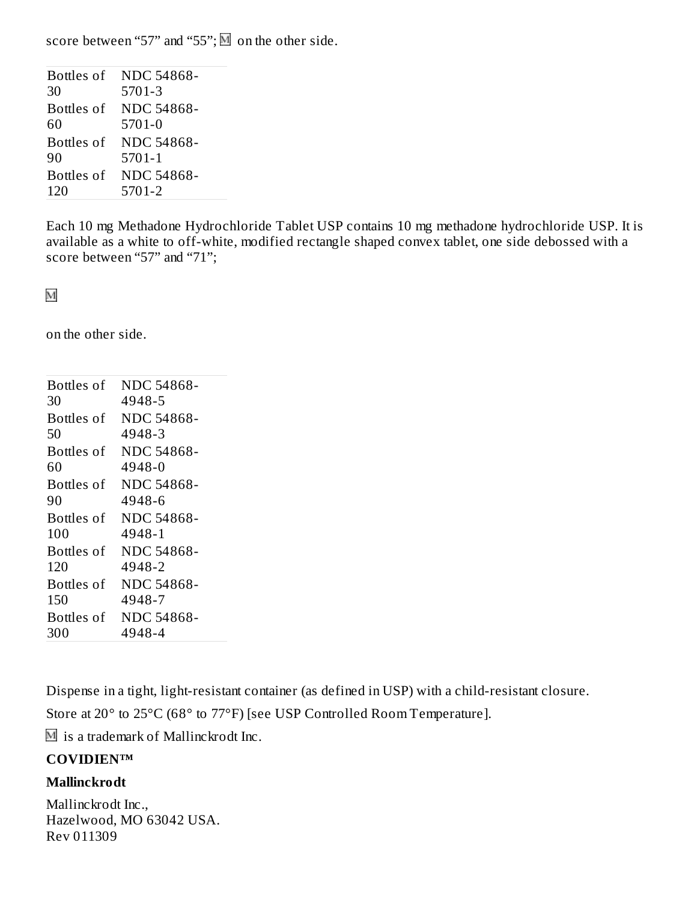score between "57" and "55";  $\overline{M}$  on the other side.

| <b>Bottles of</b> | NDC 54868- |
|-------------------|------------|
| 30                | 5701-3     |
| Bottles of        | NDC 54868- |
| 60                | 5701-0     |
| Bottles of        | NDC 54868- |
| 90                | 5701-1     |
| Bottles of        | NDC 54868- |
| 120               | 5701-2     |

Each 10 mg Methadone Hydrochloride Tablet USP contains 10 mg methadone hydrochloride USP. It is available as a white to off-white, modified rectangle shaped convex tablet, one side debossed with a score between "57" and "71";

M

on the other side.

| Bottles of | NDC 54868-        |
|------------|-------------------|
| 30         | 4948-5            |
| Bottles of | NDC 54868-        |
| 50         | 4948-3            |
| Bottles of | NDC 54868-        |
| 60         | 4948-0            |
| Bottles of | NDC 54868-        |
| 90         | 4948-6            |
| Bottles of | NDC 54868-        |
| 100        | 4948-1            |
| Bottles of | <b>NDC 54868-</b> |
| 120        | 4948-2            |
| Bottles of | NDC 54868-        |
| 150        | 4948-7            |
| Bottles of | <b>NDC 54868-</b> |
| 300        | 4948-4            |

Dispense in a tight, light-resistant container (as defined in USP) with a child-resistant closure.

Store at 20° to 25°C (68° to 77°F) [see USP Controlled Room Temperature].

 $M$  is a trademark of Mallinckrodt Inc.

# **COVIDIEN™**

#### **Mallinckrodt**

Mallinckrodt Inc., Hazelwood, MO 63042 USA. Rev 011309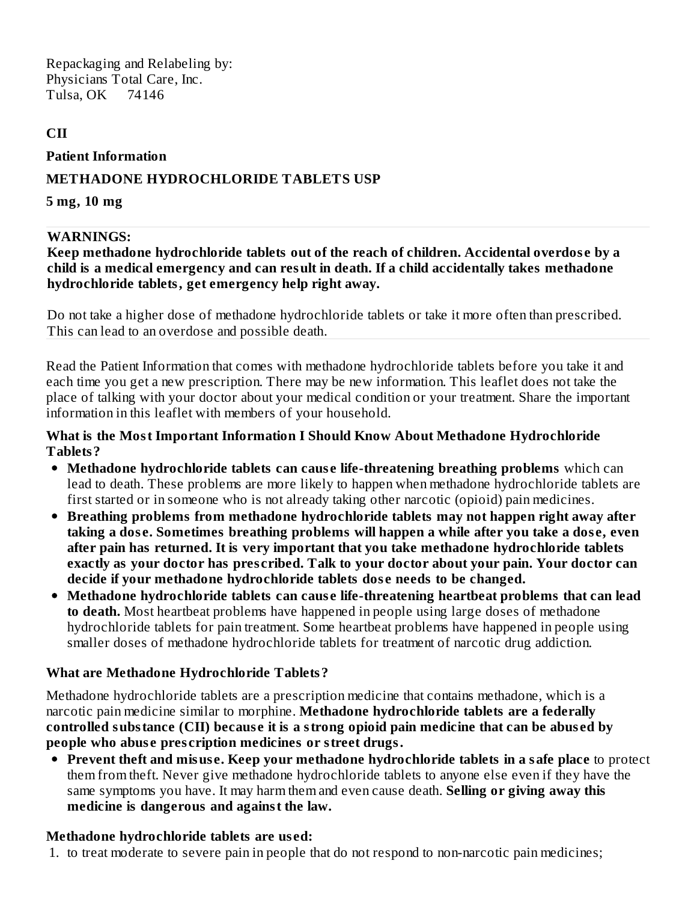Repackaging and Relabeling by: Physicians Total Care, Inc. Tulsa, OK 74146

**CII**

**Patient Information**

#### **METHADONE HYDROCHLORIDE TABLETS USP**

**5 mg, 10 mg**

#### **WARNINGS:**

**Keep methadone hydrochloride tablets out of the reach of children. Accidental overdos e by a child is a medical emergency and can result in death. If a child accidentally takes methadone hydrochloride tablets, get emergency help right away.**

Do not take a higher dose of methadone hydrochloride tablets or take it more often than prescribed. This can lead to an overdose and possible death.

Read the Patient Information that comes with methadone hydrochloride tablets before you take it and each time you get a new prescription. There may be new information. This leaflet does not take the place of talking with your doctor about your medical condition or your treatment. Share the important information in this leaflet with members of your household.

#### **What is the Most Important Information I Should Know About Methadone Hydrochloride Tablets?**

- **Methadone hydrochloride tablets can caus e life-threatening breathing problems** which can lead to death. These problems are more likely to happen when methadone hydrochloride tablets are first started or in someone who is not already taking other narcotic (opioid) pain medicines.
- **Breathing problems from methadone hydrochloride tablets may not happen right away after taking a dos e. Sometimes breathing problems will happen a while after you take a dos e, even after pain has returned. It is very important that you take methadone hydrochloride tablets exactly as your doctor has pres cribed. Talk to your doctor about your pain. Your doctor can decide if your methadone hydrochloride tablets dos e needs to be changed.**
- **Methadone hydrochloride tablets can caus e life-threatening heartbeat problems that can lead to death.** Most heartbeat problems have happened in people using large doses of methadone hydrochloride tablets for pain treatment. Some heartbeat problems have happened in people using smaller doses of methadone hydrochloride tablets for treatment of narcotic drug addiction.

#### **What are Methadone Hydrochloride Tablets?**

Methadone hydrochloride tablets are a prescription medicine that contains methadone, which is a narcotic pain medicine similar to morphine. **Methadone hydrochloride tablets are a federally controlled substance (CII) becaus e it is a strong opioid pain medicine that can be abus ed by people who abus e pres cription medicines or street drugs.**

**Prevent theft and misus e. Keep your methadone hydrochloride tablets in a safe place** to protect them from theft. Never give methadone hydrochloride tablets to anyone else even if they have the same symptoms you have. It may harm them and even cause death. **Selling or giving away this medicine is dangerous and against the law.**

#### **Methadone hydrochloride tablets are us ed:**

1. to treat moderate to severe pain in people that do not respond to non-narcotic pain medicines;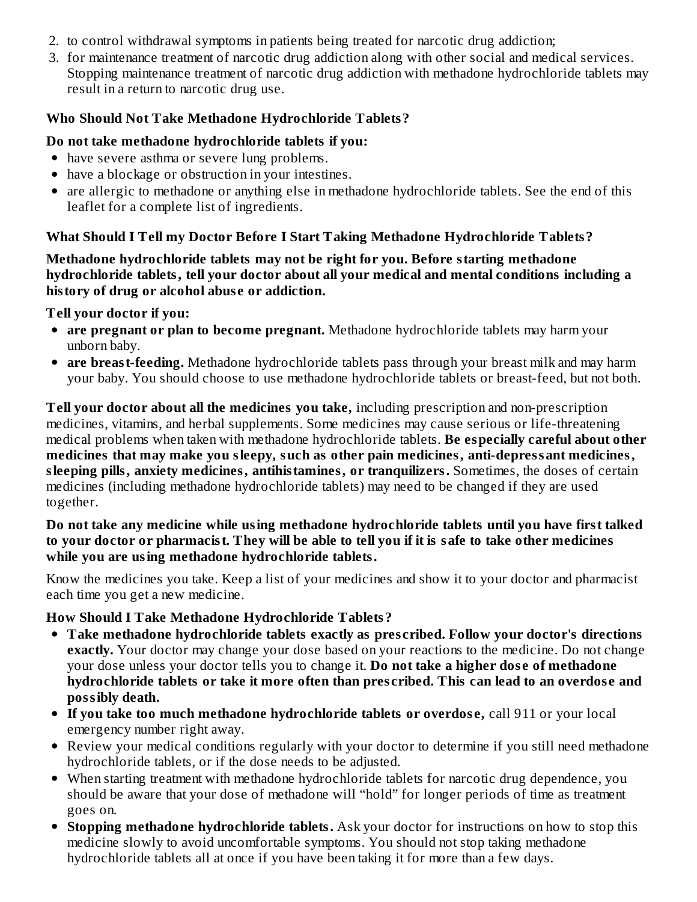- 2. to control withdrawal symptoms in patients being treated for narcotic drug addiction;
- 3. for maintenance treatment of narcotic drug addiction along with other social and medical services. Stopping maintenance treatment of narcotic drug addiction with methadone hydrochloride tablets may result in a return to narcotic drug use.

# **Who Should Not Take Methadone Hydrochloride Tablets?**

# **Do not take methadone hydrochloride tablets if you:**

- have severe asthma or severe lung problems.
- have a blockage or obstruction in your intestines.
- are allergic to methadone or anything else in methadone hydrochloride tablets. See the end of this leaflet for a complete list of ingredients.

# **What Should I Tell my Doctor Before I Start Taking Methadone Hydrochloride Tablets?**

**Methadone hydrochloride tablets may not be right for you. Before starting methadone hydrochloride tablets, tell your doctor about all your medical and mental conditions including a history of drug or alcohol abus e or addiction.**

# **Tell your doctor if you:**

- **are pregnant or plan to become pregnant.** Methadone hydrochloride tablets may harm your unborn baby.
- **are breast-feeding.** Methadone hydrochloride tablets pass through your breast milk and may harm your baby. You should choose to use methadone hydrochloride tablets or breast-feed, but not both.

**Tell your doctor about all the medicines you take,** including prescription and non-prescription medicines, vitamins, and herbal supplements. Some medicines may cause serious or life-threatening medical problems when taken with methadone hydrochloride tablets. **Be especially careful about other medicines that may make you sleepy, such as other pain medicines, anti-depressant medicines, sleeping pills, anxiety medicines, antihistamines, or tranquilizers.** Sometimes, the doses of certain medicines (including methadone hydrochloride tablets) may need to be changed if they are used together.

#### **Do not take any medicine while using methadone hydrochloride tablets until you have first talked** to your doctor or pharmacist. They will be able to tell you if it is safe to take other medicines **while you are using methadone hydrochloride tablets.**

Know the medicines you take. Keep a list of your medicines and show it to your doctor and pharmacist each time you get a new medicine.

# **How Should I Take Methadone Hydrochloride Tablets?**

- **Take methadone hydrochloride tablets exactly as pres cribed. Follow your doctor's directions exactly.** Your doctor may change your dose based on your reactions to the medicine. Do not change your dose unless your doctor tells you to change it. **Do not take a higher dos e of methadone hydrochloride tablets or take it more often than pres cribed. This can lead to an overdos e and possibly death.**
- **If you take too much methadone hydrochloride tablets or overdos e,** call 911 or your local emergency number right away.
- Review your medical conditions regularly with your doctor to determine if you still need methadone hydrochloride tablets, or if the dose needs to be adjusted.
- When starting treatment with methadone hydrochloride tablets for narcotic drug dependence, you should be aware that your dose of methadone will "hold" for longer periods of time as treatment goes on.
- **Stopping methadone hydrochloride tablets.** Ask your doctor for instructions on how to stop this medicine slowly to avoid uncomfortable symptoms. You should not stop taking methadone hydrochloride tablets all at once if you have been taking it for more than a few days.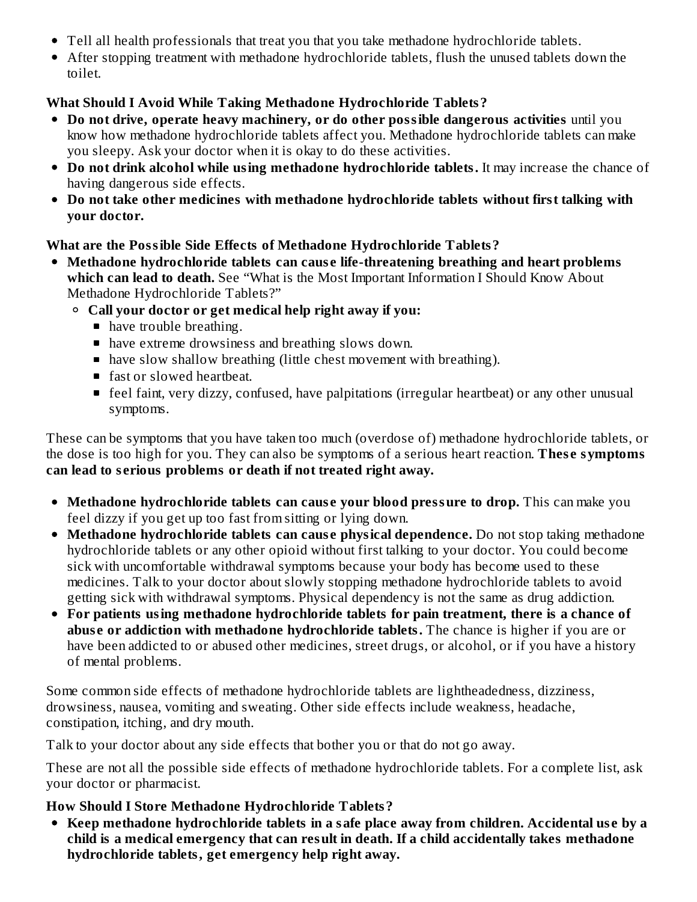- Tell all health professionals that treat you that you take methadone hydrochloride tablets.
- After stopping treatment with methadone hydrochloride tablets, flush the unused tablets down the toilet.

# **What Should I Avoid While Taking Methadone Hydrochloride Tablets?**

- **Do not drive, operate heavy machinery, or do other possible dangerous activities** until you know how methadone hydrochloride tablets affect you. Methadone hydrochloride tablets can make you sleepy. Ask your doctor when it is okay to do these activities.
- **Do not drink alcohol while using methadone hydrochloride tablets.** It may increase the chance of having dangerous side effects.
- **Do not take other medicines with methadone hydrochloride tablets without first talking with your doctor.**

#### **What are the Possible Side Effects of Methadone Hydrochloride Tablets?**

- **Methadone hydrochloride tablets can caus e life-threatening breathing and heart problems which can lead to death.** See "What is the Most Important Information I Should Know About Methadone Hydrochloride Tablets?"
	- **Call your doctor or get medical help right away if you:**
		- have trouble breathing.
		- **n** have extreme drowsiness and breathing slows down.
		- have slow shallow breathing (little chest movement with breathing).
		- **fast or slowed heartbeat.**
		- feel faint, very dizzy, confused, have palpitations (irregular heartbeat) or any other unusual symptoms.

These can be symptoms that you have taken too much (overdose of) methadone hydrochloride tablets, or the dose is too high for you. They can also be symptoms of a serious heart reaction. **Thes e symptoms can lead to s erious problems or death if not treated right away.**

- **Methadone hydrochloride tablets can caus e your blood pressure to drop.** This can make you feel dizzy if you get up too fast from sitting or lying down.
- **Methadone hydrochloride tablets can caus e physical dependence.** Do not stop taking methadone hydrochloride tablets or any other opioid without first talking to your doctor. You could become sick with uncomfortable withdrawal symptoms because your body has become used to these medicines. Talk to your doctor about slowly stopping methadone hydrochloride tablets to avoid getting sick with withdrawal symptoms. Physical dependency is not the same as drug addiction.
- **For patients using methadone hydrochloride tablets for pain treatment, there is a chance of abus e or addiction with methadone hydrochloride tablets.** The chance is higher if you are or have been addicted to or abused other medicines, street drugs, or alcohol, or if you have a history of mental problems.

Some common side effects of methadone hydrochloride tablets are lightheadedness, dizziness, drowsiness, nausea, vomiting and sweating. Other side effects include weakness, headache, constipation, itching, and dry mouth.

Talk to your doctor about any side effects that bother you or that do not go away.

These are not all the possible side effects of methadone hydrochloride tablets. For a complete list, ask your doctor or pharmacist.

#### **How Should I Store Methadone Hydrochloride Tablets?**

**Keep methadone hydrochloride tablets in a safe place away from children. Accidental us e by a child is a medical emergency that can result in death. If a child accidentally takes methadone hydrochloride tablets, get emergency help right away.**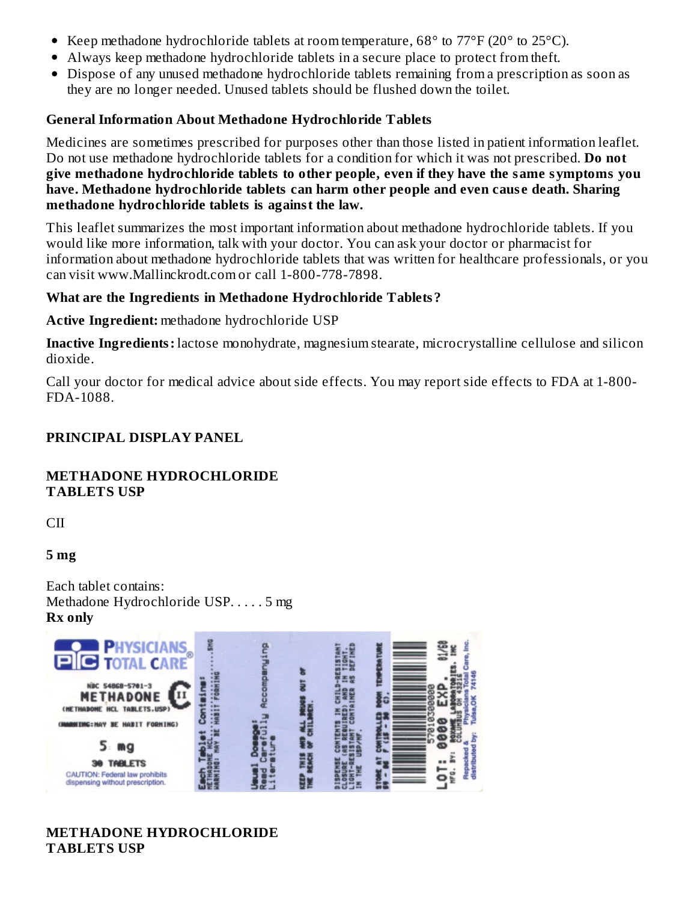- Keep methadone hydrochloride tablets at room temperature,  $68^{\circ}$  to  $77^{\circ}$  F (20 $^{\circ}$  to 25 $^{\circ}$ C).
- Always keep methadone hydrochloride tablets in a secure place to protect from theft.
- Dispose of any unused methadone hydrochloride tablets remaining from a prescription as soon as they are no longer needed. Unused tablets should be flushed down the toilet.

#### **General Information About Methadone Hydrochloride Tablets**

Medicines are sometimes prescribed for purposes other than those listed in patient information leaflet. Do not use methadone hydrochloride tablets for a condition for which it was not prescribed. **Do not give methadone hydrochloride tablets to other people, even if they have the same symptoms you have. Methadone hydrochloride tablets can harm other people and even caus e death. Sharing methadone hydrochloride tablets is against the law.**

This leaflet summarizes the most important information about methadone hydrochloride tablets. If you would like more information, talk with your doctor. You can ask your doctor or pharmacist for information about methadone hydrochloride tablets that was written for healthcare professionals, or you can visit www.Mallinckrodt.com or call 1-800-778-7898.

# **What are the Ingredients in Methadone Hydrochloride Tablets?**

**Active Ingredient:** methadone hydrochloride USP

**Inactive Ingredients:** lactose monohydrate, magnesium stearate, microcrystalline cellulose and silicon dioxide.

Call your doctor for medical advice about side effects. You may report side effects to FDA at 1-800- FDA-1088.

# **PRINCIPAL DISPLAY PANEL**

#### **METHADONE HYDROCHLORIDE TABLETS USP**

CII

#### **5 mg**

Each tablet contains: Methadone Hydrochloride USP. . . . . 5 mg **Rx only**



# **METHADONE HYDROCHLORIDE TABLETS USP**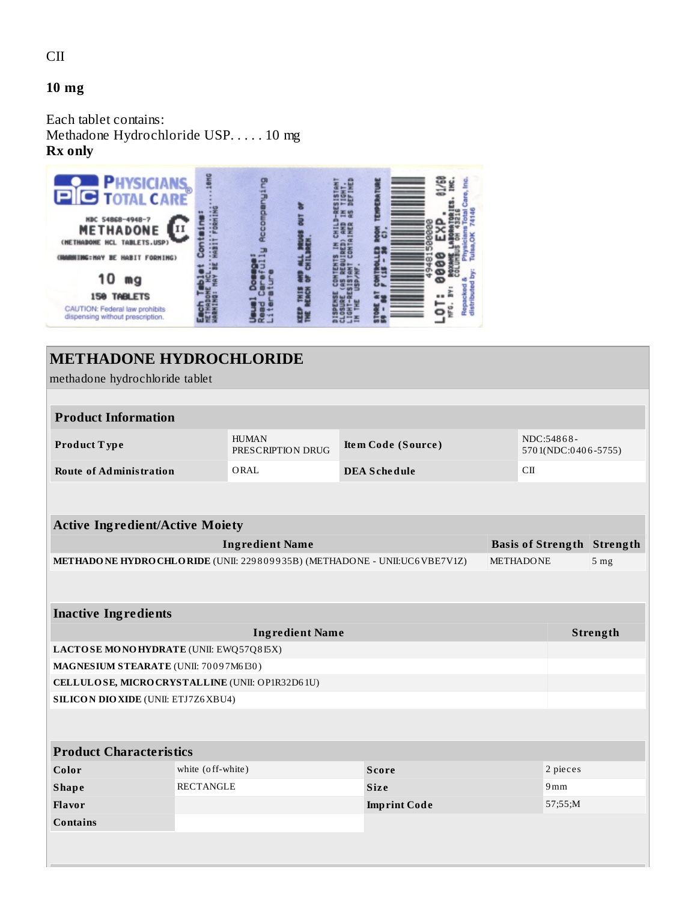CII

# **10 mg**

Each tablet contains: Methadone Hydrochloride USP. . . . . 10 mg **Rx only**



| <b>METHADONE HYDROCHLORIDE</b><br>methadone hydrochloride tablet                                  |                                                 |      |                     |                     |                                   |                 |  |
|---------------------------------------------------------------------------------------------------|-------------------------------------------------|------|---------------------|---------------------|-----------------------------------|-----------------|--|
|                                                                                                   |                                                 |      |                     |                     |                                   |                 |  |
| <b>Product Information</b>                                                                        |                                                 |      |                     |                     |                                   |                 |  |
| <b>HUMAN</b><br>Item Code (Source)<br>Product Type<br>PRESCRIPTION DRUG                           |                                                 |      | NDC:54868-          | 5701(NDC:0406-5755) |                                   |                 |  |
| <b>Route of Administration</b>                                                                    |                                                 | ORAL | <b>DEA Schedule</b> |                     | C <sub>II</sub>                   |                 |  |
|                                                                                                   |                                                 |      |                     |                     |                                   |                 |  |
| <b>Active Ingredient/Active Moiety</b>                                                            |                                                 |      |                     |                     |                                   |                 |  |
| <b>Ingredient Name</b>                                                                            |                                                 |      |                     |                     | <b>Basis of Strength Strength</b> |                 |  |
| METHADO NE HYDRO CHLO RIDE (UNII: 229809935B) (METHADO NE - UNII:UC6 VBE7V1Z)<br><b>METHADONE</b> |                                                 |      |                     |                     |                                   | 5 <sub>mg</sub> |  |
|                                                                                                   |                                                 |      |                     |                     |                                   |                 |  |
|                                                                                                   |                                                 |      |                     |                     |                                   |                 |  |
| <b>Inactive Ingredients</b>                                                                       |                                                 |      |                     |                     |                                   |                 |  |
| <b>Ingredient Name</b><br>Strength                                                                |                                                 |      |                     |                     |                                   |                 |  |
| LACTOSE MONOHYDRATE (UNII: EWQ57Q8I5X)                                                            |                                                 |      |                     |                     |                                   |                 |  |
| MAGNESIUM STEARATE (UNII: 70097M6I30)                                                             |                                                 |      |                     |                     |                                   |                 |  |
|                                                                                                   | CELLULOSE, MICRO CRYSTALLINE (UNII: OP1R32D61U) |      |                     |                     |                                   |                 |  |
| <b>SILICON DIO XIDE (UNII: ETJ7Z6 XBU4)</b>                                                       |                                                 |      |                     |                     |                                   |                 |  |
|                                                                                                   |                                                 |      |                     |                     |                                   |                 |  |
| <b>Product Characteristics</b>                                                                    |                                                 |      |                     |                     |                                   |                 |  |
| Color                                                                                             | white (off-white)                               |      | <b>Score</b>        |                     | 2 pieces                          |                 |  |
| <b>Shape</b>                                                                                      | <b>RECTANGLE</b>                                |      | <b>Size</b>         |                     | 9mm                               |                 |  |
| Flavor                                                                                            |                                                 |      | <b>Imprint Code</b> |                     | 57;55;M                           |                 |  |
| <b>Contains</b>                                                                                   |                                                 |      |                     |                     |                                   |                 |  |
|                                                                                                   |                                                 |      |                     |                     |                                   |                 |  |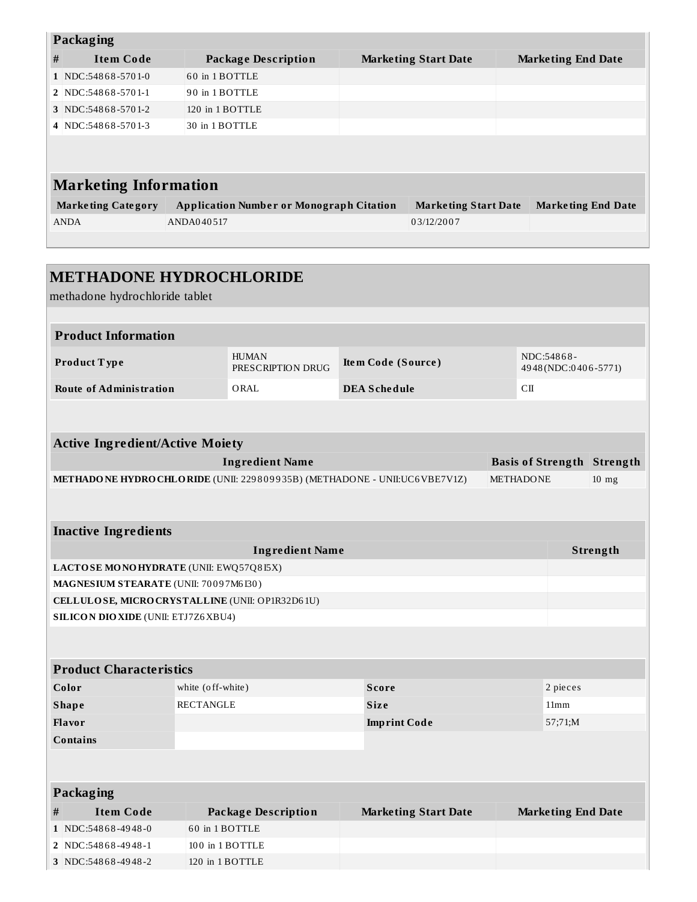|   | Packaging                    |                                                 |  |                             |  |                           |
|---|------------------------------|-------------------------------------------------|--|-----------------------------|--|---------------------------|
| # | <b>Item Code</b>             | <b>Package Description</b>                      |  | <b>Marketing Start Date</b> |  | <b>Marketing End Date</b> |
|   | 1 NDC:54868-5701-0           | 60 in 1 BOTTLE                                  |  |                             |  |                           |
|   | 2 NDC:54868-5701-1           | 90 in 1 BOTTLE                                  |  |                             |  |                           |
|   | 3 NDC:54868-5701-2           | 120 in 1 BOTTLE                                 |  |                             |  |                           |
|   | 4 NDC:54868-5701-3           | 30 in 1 BOTTLE                                  |  |                             |  |                           |
|   |                              |                                                 |  |                             |  |                           |
|   |                              |                                                 |  |                             |  |                           |
|   | <b>Marketing Information</b> |                                                 |  |                             |  |                           |
|   | <b>Marketing Category</b>    | <b>Application Number or Monograph Citation</b> |  | <b>Marketing Start Date</b> |  | <b>Marketing End Date</b> |
|   | <b>ANDA</b>                  | ANDA040517                                      |  | 03/12/2007                  |  |                           |
|   |                              |                                                 |  |                             |  |                           |

| <b>METHADONE HYDROCHLORIDE</b><br>methadone hydrochloride tablet              |                                        |                             |      |                                   |                      |  |
|-------------------------------------------------------------------------------|----------------------------------------|-----------------------------|------|-----------------------------------|----------------------|--|
|                                                                               |                                        |                             |      |                                   |                      |  |
| <b>Product Information</b>                                                    |                                        |                             |      |                                   |                      |  |
| Product Type                                                                  | <b>HUMAN</b><br>PRESCRIPTION DRUG      | Item Code (Source)          |      | NDC:54868-                        | 4948 (NDC:0406-5771) |  |
| <b>Route of Administration</b>                                                | ORAL                                   | <b>DEA Schedule</b>         |      | C <sub>II</sub>                   |                      |  |
|                                                                               |                                        |                             |      |                                   |                      |  |
| <b>Active Ingredient/Active Moiety</b>                                        |                                        |                             |      |                                   |                      |  |
|                                                                               | <b>Ingredient Name</b>                 |                             |      | <b>Basis of Strength Strength</b> |                      |  |
| METHADO NE HYDRO CHLO RIDE (UNII: 229809935B) (METHADO NE - UNII:UC6 VBE7V1Z) |                                        |                             |      | <b>METHADONE</b>                  | $10$ mg              |  |
|                                                                               |                                        |                             |      |                                   |                      |  |
| <b>Inactive Ingredients</b>                                                   |                                        |                             |      |                                   |                      |  |
|                                                                               | Strength<br><b>Ingredient Name</b>     |                             |      |                                   |                      |  |
|                                                                               | LACTOSE MONOHYDRATE (UNII: EWQ57Q8I5X) |                             |      |                                   |                      |  |
| MAGNESIUM STEARATE (UNII: 70097M6I30)                                         |                                        |                             |      |                                   |                      |  |
| CELLULOSE, MICRO CRYSTALLINE (UNII: OP1R32D61U)                               |                                        |                             |      |                                   |                      |  |
| <b>SILICON DIO XIDE (UNII: ETJ7Z6 XBU4)</b>                                   |                                        |                             |      |                                   |                      |  |
|                                                                               |                                        |                             |      |                                   |                      |  |
| <b>Product Characteristics</b>                                                |                                        |                             |      |                                   |                      |  |
| Color                                                                         | white (off-white)                      | <b>Score</b>                |      | 2 pieces                          |                      |  |
| <b>RECTANGLE</b><br><b>Shape</b><br><b>Size</b>                               |                                        |                             | 11mm |                                   |                      |  |
| Flavor<br>57;71;M<br><b>Imprint Code</b>                                      |                                        |                             |      |                                   |                      |  |
| <b>Contains</b>                                                               |                                        |                             |      |                                   |                      |  |
|                                                                               |                                        |                             |      |                                   |                      |  |
| Packaging                                                                     |                                        |                             |      |                                   |                      |  |
| <b>Item Code</b><br>#                                                         | <b>Package Description</b>             | <b>Marketing Start Date</b> |      | <b>Marketing End Date</b>         |                      |  |
| 1 NDC:54868-4948-0                                                            | 60 in 1 BOTTLE                         |                             |      |                                   |                      |  |
| 2 NDC:54868-4948-1                                                            | 100 in 1 BOTTLE                        |                             |      |                                   |                      |  |
| 3 NDC:54868-4948-2                                                            | 120 in 1 BOTTLE                        |                             |      |                                   |                      |  |